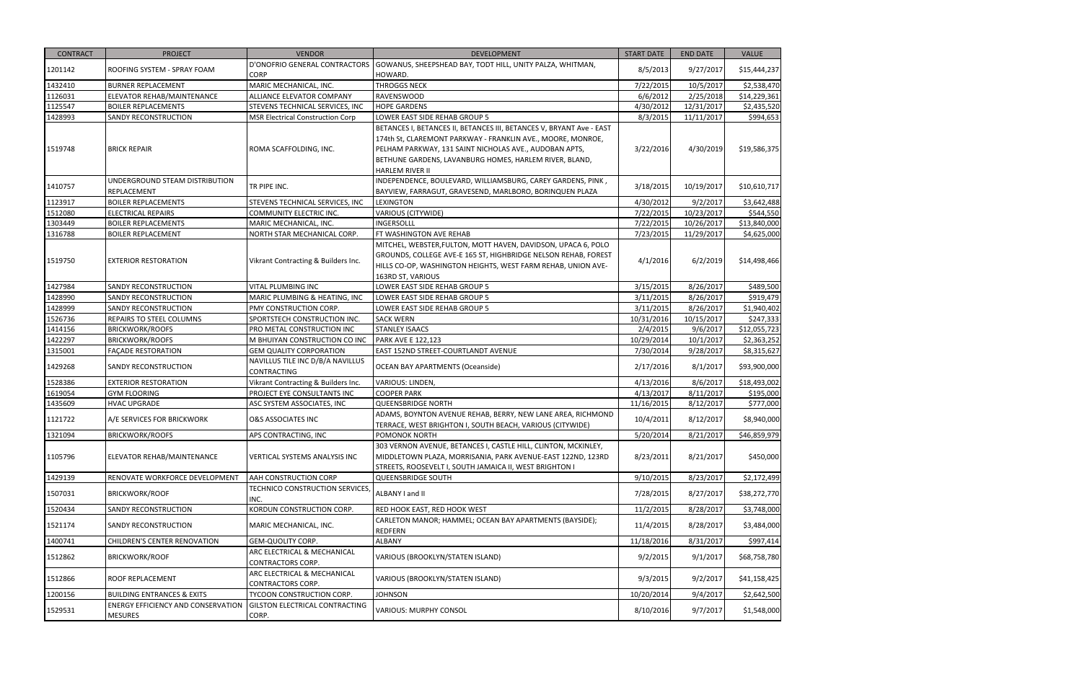| <b>CONTRACT</b> | <b>PROJECT</b>                                              | <b>VENDOR</b>                                               | <b>DEVELOPMENT</b>                                                   | <b>START DATE</b> | <b>END DATE</b> | <b>VALUE</b> |
|-----------------|-------------------------------------------------------------|-------------------------------------------------------------|----------------------------------------------------------------------|-------------------|-----------------|--------------|
|                 |                                                             | D'ONOFRIO GENERAL CONTRACTORS                               | GOWANUS, SHEEPSHEAD BAY, TODT HILL, UNITY PALZA, WHITMAN,            |                   |                 |              |
| 1201142         | ROOFING SYSTEM - SPRAY FOAM                                 | <b>CORP</b>                                                 | HOWARD.                                                              | 8/5/2013          | 9/27/2017       | \$15,444,237 |
| 1432410         | <b>BURNER REPLACEMENT</b>                                   | MARIC MECHANICAL, INC.                                      | <b>THROGGS NECK</b>                                                  | 7/22/2015         | 10/5/2017       | \$2,538,470  |
| 1126031         | ELEVATOR REHAB/MAINTENANCE                                  | ALLIANCE ELEVATOR COMPANY                                   | RAVENSWOOD                                                           | 6/6/2012          | 2/25/2018       | \$14,229,361 |
| 1125547         | <b>BOILER REPLACEMENTS</b>                                  | STEVENS TECHNICAL SERVICES, INC                             | <b>HOPE GARDENS</b>                                                  | 4/30/2012         | 12/31/2017      | \$2,435,520  |
| 1428993         | SANDY RECONSTRUCTION                                        | <b>MSR Electrical Construction Corp</b>                     | LOWER EAST SIDE REHAB GROUP 5                                        | 8/3/2015          | 11/11/2017      | \$994,653    |
|                 |                                                             |                                                             | BETANCES I, BETANCES II, BETANCES III, BETANCES V, BRYANT Ave - EAST |                   |                 |              |
|                 |                                                             |                                                             | 174th St, CLAREMONT PARKWAY - FRANKLIN AVE., MOORE, MONROE,          |                   |                 |              |
| 1519748         | <b>BRICK REPAIR</b>                                         | ROMA SCAFFOLDING, INC.                                      | PELHAM PARKWAY, 131 SAINT NICHOLAS AVE., AUDOBAN APTS,               | 3/22/2016         | 4/30/2019       | \$19,586,375 |
|                 |                                                             |                                                             | BETHUNE GARDENS, LAVANBURG HOMES, HARLEM RIVER, BLAND,               |                   |                 |              |
|                 |                                                             |                                                             | HARLEM RIVER II                                                      |                   |                 |              |
| 1410757         | UNDERGROUND STEAM DISTRIBUTION                              | TR PIPE INC.                                                | INDEPENDENCE, BOULEVARD, WILLIAMSBURG, CAREY GARDENS, PINK,          | 3/18/2015         | 10/19/2017      | \$10,610,717 |
|                 | REPLACEMENT                                                 |                                                             | BAYVIEW, FARRAGUT, GRAVESEND, MARLBORO, BORINQUEN PLAZA              |                   |                 |              |
| 1123917         | <b>BOILER REPLACEMENTS</b>                                  | STEVENS TECHNICAL SERVICES, INC                             | <b>LEXINGTON</b>                                                     | 4/30/2012         | 9/2/2017        | \$3,642,488  |
| 1512080         | <b>ELECTRICAL REPAIRS</b>                                   | COMMUNITY ELECTRIC INC.                                     | VARIOUS (CITYWIDE)                                                   | 7/22/2015         | 10/23/2017      | \$544,550    |
| 1303449         | <b>BOILER REPLACEMENTS</b>                                  | MARIC MECHANICAL, INC.                                      | INGERSOLLL                                                           | 7/22/2015         | 10/26/2017      | \$13,840,000 |
| 1316788         | <b>BOILER REPLACEMENT</b>                                   | NORTH STAR MECHANICAL CORP.                                 | FT WASHINGTON AVE REHAB                                              | 7/23/2015         | 11/29/2017      | \$4,625,000  |
|                 |                                                             |                                                             | MITCHEL, WEBSTER, FULTON, MOTT HAVEN, DAVIDSON, UPACA 6, POLO        |                   |                 |              |
| 1519750         | <b>EXTERIOR RESTORATION</b>                                 | Vikrant Contracting & Builders Inc.                         | GROUNDS, COLLEGE AVE-E 165 ST, HIGHBRIDGE NELSON REHAB, FOREST       | 4/1/2016          | 6/2/2019        | \$14,498,466 |
|                 |                                                             |                                                             | HILLS CO-OP, WASHINGTON HEIGHTS, WEST FARM REHAB, UNION AVE-         |                   |                 |              |
|                 |                                                             |                                                             | 163RD ST, VARIOUS                                                    |                   |                 |              |
| 1427984         | SANDY RECONSTRUCTION                                        | VITAL PLUMBING INC                                          | LOWER EAST SIDE REHAB GROUP 5                                        | 3/15/2015         | 8/26/2017       | \$489,500    |
| 1428990         | SANDY RECONSTRUCTION                                        | MARIC PLUMBING & HEATING, INC                               | LOWER EAST SIDE REHAB GROUP 5                                        | 3/11/2015         | 8/26/2017       | \$919,479    |
| 1428999         | SANDY RECONSTRUCTION                                        | PMY CONSTRUCTION CORP.                                      | LOWER EAST SIDE REHAB GROUP 5                                        | 3/11/2015         | 8/26/2017       | \$1,940,402  |
| 1526736         | REPAIRS TO STEEL COLUMNS                                    | SPORTSTECH CONSTRUCTION INC.                                | <b>SACK WERN</b>                                                     | 10/31/2016        | 10/15/2017      | \$247,333    |
| 1414156         | <b>BRICKWORK/ROOFS</b>                                      | PRO METAL CONSTRUCTION INC                                  | <b>STANLEY ISAACS</b>                                                | 2/4/2015          | 9/6/2017        | \$12,055,723 |
| 1422297         | <b>BRICKWORK/ROOFS</b>                                      | M BHUIYAN CONSTRUCTION CO INC                               | <b>PARK AVE E 122,123</b>                                            | 10/29/2014        | 10/1/2017       | \$2,363,252  |
| 1315001         | <b>FAÇADE RESTORATION</b>                                   | <b>GEM QUALITY CORPORATION</b>                              | EAST 152ND STREET-COURTLANDT AVENUE                                  | 7/30/2014         | 9/28/2017       | \$8,315,627  |
| 1429268         | SANDY RECONSTRUCTION                                        | NAVILLUS TILE INC D/B/A NAVILLUS                            | <b>OCEAN BAY APARTMENTS (Oceanside)</b>                              | 2/17/2016         | 8/1/2017        | \$93,900,000 |
|                 |                                                             | CONTRACTING                                                 |                                                                      |                   |                 |              |
| 1528386         | <b>EXTERIOR RESTORATION</b>                                 | Vikrant Contracting & Builders Inc.                         | VARIOUS: LINDEN,                                                     | 4/13/2016         | 8/6/2017        | \$18,493,002 |
| 1619054         | <b>GYM FLOORING</b>                                         | PROJECT EYE CONSULTANTS INC                                 | <b>COOPER PARK</b>                                                   | 4/13/2017         | 8/11/2017       | \$195,000    |
| 1435609         | <b>HVAC UPGRADE</b>                                         | ASC SYSTEM ASSOCIATES, INC                                  | <b>QUEENSBRIDGE NORTH</b>                                            | 11/16/2015        | 8/12/2017       | \$777,000    |
| 1121722         | A/E SERVICES FOR BRICKWORK                                  | <b>O&amp;S ASSOCIATES INC</b>                               | ADAMS, BOYNTON AVENUE REHAB, BERRY, NEW LANE AREA, RICHMOND          | 10/4/2011         | 8/12/2017       | \$8,940,000  |
|                 |                                                             |                                                             | TERRACE, WEST BRIGHTON I, SOUTH BEACH, VARIOUS (CITYWIDE)            |                   |                 |              |
| 1321094         | <b>BRICKWORK/ROOFS</b>                                      | APS CONTRACTING, INC                                        | POMONOK NORTH                                                        | 5/20/2014         | 8/21/2017       | \$46,859,979 |
|                 |                                                             |                                                             | 303 VERNON AVENUE, BETANCES I, CASTLE HILL, CLINTON, MCKINLEY,       |                   |                 |              |
| 1105796         | ELEVATOR REHAB/MAINTENANCE<br>VERTICAL SYSTEMS ANALYSIS INC | MIDDLETOWN PLAZA, MORRISANIA, PARK AVENUE-EAST 122ND, 123RD | 8/23/2011                                                            | 8/21/2017         | \$450,000       |              |
|                 |                                                             |                                                             | STREETS, ROOSEVELT I, SOUTH JAMAICA II, WEST BRIGHTON I              |                   |                 |              |
| 1429139         | RENOVATE WORKFORCE DEVELOPMENT                              | AAH CONSTRUCTION CORP                                       | QUEENSBRIDGE SOUTH                                                   | 9/10/2015         | 8/23/2017       | \$2,172,499  |
| 1507031         | <b>BRICKWORK/ROOF</b>                                       | TECHNICO CONSTRUCTION SERVICES,                             | ALBANY I and II                                                      | 7/28/2015         | 8/27/2017       | \$38,272,770 |
|                 |                                                             | INC.                                                        |                                                                      |                   |                 |              |
| 1520434         | SANDY RECONSTRUCTION                                        | KORDUN CONSTRUCTION CORP.                                   | RED HOOK EAST, RED HOOK WEST                                         | 11/2/2015         | 8/28/2017       | \$3,748,000  |
| 1521174         | <b>SANDY RECONSTRUCTION</b>                                 | MARIC MECHANICAL, INC.                                      | CARLETON MANOR; HAMMEL; OCEAN BAY APARTMENTS (BAYSIDE);              | 11/4/2015         | 8/28/2017       | \$3,484,000  |
|                 |                                                             |                                                             | REDFERN                                                              |                   |                 |              |
| 1400741         | <b>CHILDREN'S CENTER RENOVATION</b>                         | GEM-QUOLITY CORP.                                           | ALBANY                                                               | 11/18/2016        | 8/31/2017       | \$997,414    |
| 1512862         | <b>BRICKWORK/ROOF</b>                                       | ARC ELECTRICAL & MECHANICAL                                 | VARIOUS (BROOKLYN/STATEN ISLAND)                                     | 9/2/2015          | 9/1/2017        | \$68,758,780 |
|                 |                                                             | CONTRACTORS CORP.                                           |                                                                      |                   |                 |              |
| 1512866         | ROOF REPLACEMENT                                            | ARC ELECTRICAL & MECHANICAL                                 | VARIOUS (BROOKLYN/STATEN ISLAND)                                     | 9/3/2015          | 9/2/2017        | \$41,158,425 |
|                 |                                                             | CONTRACTORS CORP.                                           |                                                                      |                   |                 |              |
| 1200156         | <b>BUILDING ENTRANCES &amp; EXITS</b>                       | TYCOON CONSTRUCTION CORP.                                   | <b>JOHNSON</b>                                                       | 10/20/2014        | 9/4/2017        | \$2,642,500  |
| 1529531         | <b>ENERGY EFFICIENCY AND CONSERVATION</b>                   | GILSTON ELECTRICAL CONTRACTING                              | VARIOUS: MURPHY CONSOL                                               | 8/10/2016         | 9/7/2017        | \$1,548,000  |
|                 | <b>MESURES</b>                                              | CORP.                                                       |                                                                      |                   |                 |              |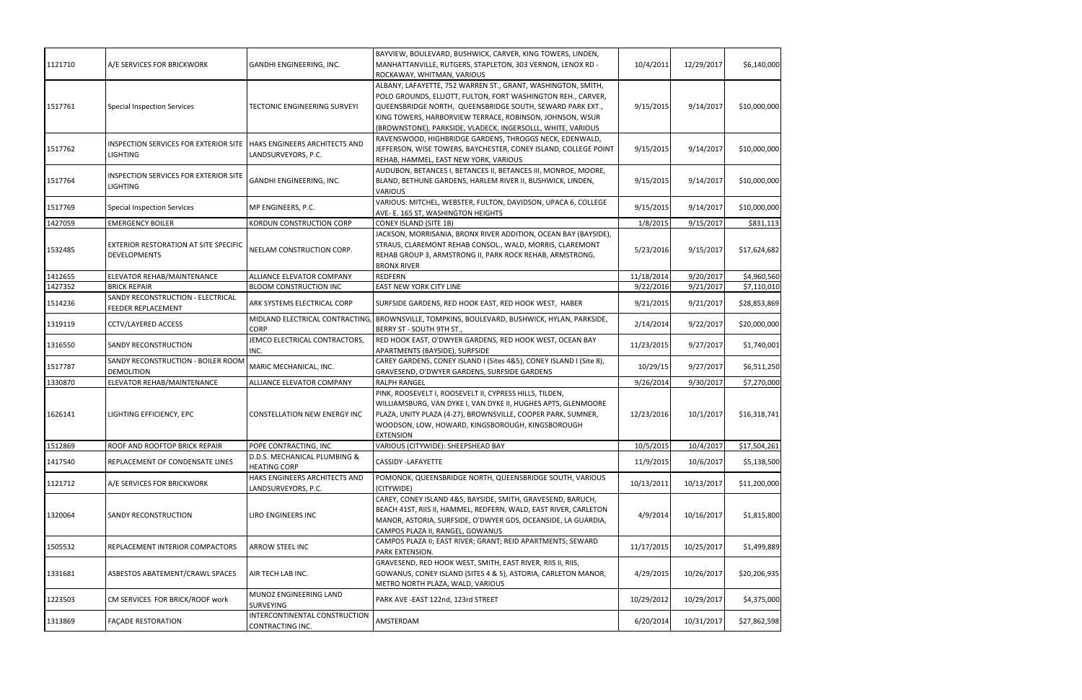| 1121710 | A/E SERVICES FOR BRICKWORK                                          | GANDHI ENGINEERING, INC.                             | BAYVIEW, BOULEVARD, BUSHWICK, CARVER, KING TOWERS, LINDEN,<br>MANHATTANVILLE, RUTGERS, STAPLETON, 303 VERNON, LENOX RD -<br>ROCKAWAY, WHITMAN, VARIOUS                                                                                                                                                               | 10/4/2011  | 12/29/2017 | \$6,140,000  |
|---------|---------------------------------------------------------------------|------------------------------------------------------|----------------------------------------------------------------------------------------------------------------------------------------------------------------------------------------------------------------------------------------------------------------------------------------------------------------------|------------|------------|--------------|
| 1517761 | <b>Special Inspection Services</b>                                  | <b>TECTONIC ENGINEERING SURVEYI</b>                  | ALBANY, LAFAYETTE, 752 WARREN ST., GRANT, WASHINGTON, SMITH,<br>POLO GROUNDS, ELLIOTT, FULTON, FORT WASHINGTON REH., CARVER,<br>QUEENSBRIDGE NORTH, QUEENSBRIDGE SOUTH, SEWARD PARK EXT.,<br>KING TOWERS, HARBORVIEW TERRACE, ROBINSON, JOHNSON, WSUR<br>(BROWNSTONE), PARKSIDE, VLADECK, INGERSOLLL, WHITE, VARIOUS | 9/15/2015  | 9/14/2017  | \$10,000,000 |
| 1517762 | INSPECTION SERVICES FOR EXTERIOR SITE<br><b>LIGHTING</b>            | HAKS ENGINEERS ARCHITECTS AND<br>LANDSURVEYORS, P.C. | RAVENSWOOD, HIGHBRIDGE GARDENS, THROGGS NECK, EDENWALD,<br>JEFFERSON, WISE TOWERS, BAYCHESTER, CONEY ISLAND, COLLEGE POINT<br>REHAB, HAMMEL, EAST NEW YORK, VARIOUS                                                                                                                                                  | 9/15/2015  | 9/14/2017  | \$10,000,000 |
| 1517764 | INSPECTION SERVICES FOR EXTERIOR SITE<br><b>LIGHTING</b>            | GANDHI ENGINEERING, INC.                             | AUDUBON, BETANCES I, BETANCES II, BETANCES III, MONROE, MOORE,<br>BLAND, BETHUNE GARDENS, HARLEM RIVER II, BUSHWICK, LINDEN,<br><b>VARIOUS</b>                                                                                                                                                                       | 9/15/2015  | 9/14/2017  | \$10,000,000 |
| 1517769 | <b>Special Inspection Services</b>                                  | MP ENGINEERS, P.C.                                   | VARIOUS: MITCHEL, WEBSTER, FULTON, DAVIDSON, UPACA 6, COLLEGE<br>AVE- E. 165 ST, WASHINGTON HEIGHTS                                                                                                                                                                                                                  | 9/15/2015  | 9/14/2017  | \$10,000,000 |
| 1427059 | <b>EMERGENCY BOILER</b>                                             | KORDUN CONSTRUCTION CORP                             | <b>CONEY ISLAND (SITE 1B)</b>                                                                                                                                                                                                                                                                                        | 1/8/2015   | 9/15/2017  | \$831,113    |
| 1532485 | <b>EXTERIOR RESTORATION AT SITE SPECIFIC</b><br><b>DEVELOPMENTS</b> | NEELAM CONSTRUCTION CORP.                            | JACKSON, MORRISANIA, BRONX RIVER ADDITION, OCEAN BAY (BAYSIDE),<br>STRAUS, CLAREMONT REHAB CONSOL., WALD, MORRIS, CLAREMONT<br>REHAB GROUP 3, ARMSTRONG II, PARK ROCK REHAB, ARMSTRONG,<br><b>BRONX RIVER</b>                                                                                                        | 5/23/2016  | 9/15/2017  | \$17,624,682 |
| 1412655 | ELEVATOR REHAB/MAINTENANCE                                          | ALLIANCE ELEVATOR COMPANY                            | <b>REDFERN</b>                                                                                                                                                                                                                                                                                                       | 11/18/2014 | 9/20/2017  | \$4,960,560  |
| 1427352 | <b>BRICK REPAIR</b>                                                 | <b>BLOOM CONSTRUCTION INC</b>                        | EAST NEW YORK CITY LINE                                                                                                                                                                                                                                                                                              | 9/22/2016  | 9/21/2017  | \$7,110,010  |
| 1514236 | SANDY RECONSTRUCTION - ELECTRICAL<br>FEEDER REPLACEMENT             | ARK SYSTEMS ELECTRICAL CORP                          | SURFSIDE GARDENS, RED HOOK EAST, RED HOOK WEST, HABER                                                                                                                                                                                                                                                                | 9/21/2015  | 9/21/2017  | \$28,853,869 |
| 1319119 | <b>CCTV/LAYERED ACCESS</b>                                          | MIDLAND ELECTRICAL CONTRACTING,<br><b>CORP</b>       | BROWNSVILLE, TOMPKINS, BOULEVARD, BUSHWICK, HYLAN, PARKSIDE,<br>BERRY ST - SOUTH 9TH ST.,                                                                                                                                                                                                                            | 2/14/2014  | 9/22/2017  | \$20,000,000 |
| 1316550 | <b>SANDY RECONSTRUCTION</b>                                         | JEMCO ELECTRICAL CONTRACTORS,<br>INC.                | RED HOOK EAST, O'DWYER GARDENS, RED HOOK WEST, OCEAN BAY<br>APARTMENTS (BAYSIDE), SURFSIDE                                                                                                                                                                                                                           | 11/23/2015 | 9/27/2017  | \$1,740,001  |
| 1517787 | SANDY RECONSTRUCTION - BOILER ROOM<br><b>DEMOLITION</b>             | MARIC MECHANICAL, INC.                               | CAREY GARDENS, CONEY ISLAND I (Sites 4&5), CONEY ISLAND I (Site 8),<br>GRAVESEND, O'DWYER GARDENS, SURFSIDE GARDENS                                                                                                                                                                                                  | 10/29/15   | 9/27/2017  | \$6,511,250  |
| 1330870 | ELEVATOR REHAB/MAINTENANCE                                          | ALLIANCE ELEVATOR COMPANY                            | <b>RALPH RANGEL</b>                                                                                                                                                                                                                                                                                                  | 9/26/2014  | 9/30/2017  | \$7,270,000  |
| 1626141 | LIGHTING EFFICIENCY, EPC                                            | <b>CONSTELLATION NEW ENERGY INC</b>                  | PINK, ROOSEVELT I, ROOSEVELT II, CYPRESS HILLS, TILDEN,<br>WILLIAMSBURG, VAN DYKE I, VAN DYKE II, HUGHES APTS, GLENMOORE<br>PLAZA, UNITY PLAZA (4-27), BROWNSVILLE, COOPER PARK, SUMNER,<br>WOODSON, LOW, HOWARD, KINGSBOROUGH, KINGSBOROUGH<br><b>EXTENSION</b>                                                     | 12/23/2016 | 10/1/2017  | \$16,318,741 |
| 1512869 | ROOF AND ROOFTOP BRICK REPAIR                                       | POPE CONTRACTING, INC                                | VARIOUS (CITYWIDE): SHEEPSHEAD BAY                                                                                                                                                                                                                                                                                   | 10/5/2015  | 10/4/2017  | \$17,504,261 |
| 1417540 | REPLACEMENT OF CONDENSATE LINES                                     | D.D.S. MECHANICAL PLUMBING &<br><b>HEATING CORP</b>  | CASSIDY -LAFAYETTE                                                                                                                                                                                                                                                                                                   | 11/9/2015  | 10/6/2017  | \$5,138,500  |
| 1121712 | A/E SERVICES FOR BRICKWORK                                          | HAKS ENGINEERS ARCHITECTS AND<br>LANDSURVEYORS, P.C. | POMONOK, QUEENSBRIDGE NORTH, QUEENSBRIDGE SOUTH, VARIOUS<br>(CITYWIDE)                                                                                                                                                                                                                                               | 10/13/2011 | 10/13/2017 | \$11,200,000 |
| 1320064 | SANDY RECONSTRUCTION                                                | LIRO ENGINEERS INC                                   | CAREY, CONEY ISLAND 4&5, BAYSIDE, SMITH, GRAVESEND, BARUCH,<br>BEACH 41ST, RIIS II, HAMMEL, REDFERN, WALD, EAST RIVER, CARLETON<br>MANOR, ASTORIA, SURFSIDE, O'DWYER GDS, OCEANSIDE, LA GUARDIA,<br>CAMPOS PLAZA II, RANGEL, GOWANUS                                                                                 | 4/9/2014   | 10/16/2017 | \$1,815,800  |
| 1505532 | REPLACEMENT INTERIOR COMPACTORS                                     | ARROW STEEL INC                                      | CAMPOS PLAZA II; EAST RIVER; GRANT; REID APARTMENTS; SEWARD<br>PARK EXTENSION.                                                                                                                                                                                                                                       | 11/17/2015 | 10/25/2017 | \$1,499,889  |
| 1331681 | ASBESTOS ABATEMENT/CRAWL SPACES                                     | AIR TECH LAB INC.                                    | GRAVESEND, RED HOOK WEST, SMITH, EAST RIVER, RIIS II, RIIS,<br>GOWANUS, CONEY ISLAND (SITES 4 & 5), ASTORIA, CARLETON MANOR,<br>METRO NORTH PLAZA, WALD, VARIOUS                                                                                                                                                     | 4/29/2015  | 10/26/2017 | \$20,206,935 |
| 1223503 | CM SERVICES FOR BRICK/ROOF work                                     | MUNOZ ENGINEERING LAND<br>SURVEYING                  | PARK AVE - EAST 122nd, 123rd STREET                                                                                                                                                                                                                                                                                  | 10/29/2012 | 10/29/2017 | \$4,375,000  |
| 1313869 | <b>FACADE RESTORATION</b>                                           | INTERCONTINENTAL CONSTRUCTION<br>CONTRACTING INC.    | AMSTERDAM                                                                                                                                                                                                                                                                                                            | 6/20/2014  | 10/31/2017 | \$27,862,598 |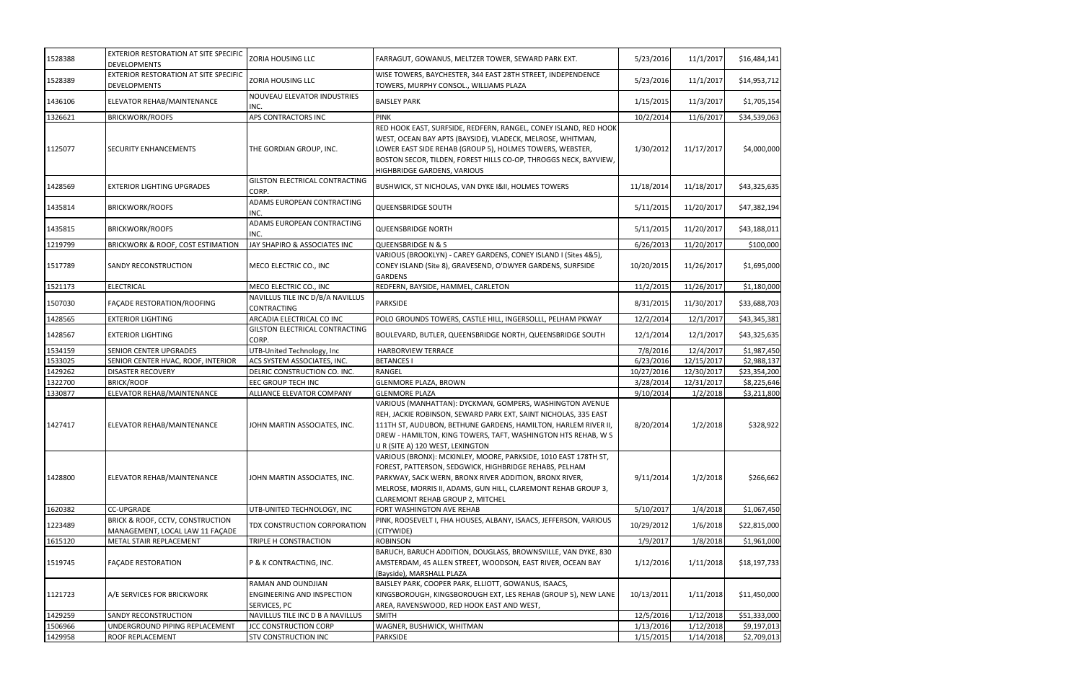| 1528388 | <b>EXTERIOR RESTORATION AT SITE SPECIFIC</b><br><b>DEVELOPMENTS</b>            | <b>ZORIA HOUSING LLC</b>                                                | FARRAGUT, GOWANUS, MELTZER TOWER, SEWARD PARK EXT.                                                                                                                                                                                                                                                 | 5/23/2016  | 11/1/2017  | \$16,484,141 |
|---------|--------------------------------------------------------------------------------|-------------------------------------------------------------------------|----------------------------------------------------------------------------------------------------------------------------------------------------------------------------------------------------------------------------------------------------------------------------------------------------|------------|------------|--------------|
| 1528389 | <b>EXTERIOR RESTORATION AT SITE SPECIFIC</b><br><b>DEVELOPMENTS</b>            | <b>ZORIA HOUSING LLC</b>                                                | WISE TOWERS, BAYCHESTER, 344 EAST 28TH STREET, INDEPENDENCE<br>TOWERS, MURPHY CONSOL., WILLIAMS PLAZA                                                                                                                                                                                              | 5/23/2016  | 11/1/2017  | \$14,953,712 |
| 1436106 | ELEVATOR REHAB/MAINTENANCE                                                     | NOUVEAU ELEVATOR INDUSTRIES<br>INC.                                     | <b>BAISLEY PARK</b>                                                                                                                                                                                                                                                                                | 1/15/2015  | 11/3/2017  | \$1,705,154  |
| 1326621 | <b>BRICKWORK/ROOFS</b>                                                         | APS CONTRACTORS INC                                                     | <b>PINK</b>                                                                                                                                                                                                                                                                                        | 10/2/2014  | 11/6/2017  | \$34,539,063 |
| 1125077 | <b>SECURITY ENHANCEMENTS</b>                                                   | THE GORDIAN GROUP, INC.                                                 | RED HOOK EAST, SURFSIDE, REDFERN, RANGEL, CONEY ISLAND, RED HOOK<br>WEST, OCEAN BAY APTS (BAYSIDE), VLADECK, MELROSE, WHITMAN,<br>LOWER EAST SIDE REHAB (GROUP 5), HOLMES TOWERS, WEBSTER,<br>BOSTON SECOR, TILDEN, FOREST HILLS CO-OP, THROGGS NECK, BAYVIEW,<br>HIGHBRIDGE GARDENS, VARIOUS      | 1/30/2012  | 11/17/2017 | \$4,000,000  |
| 1428569 | EXTERIOR LIGHTING UPGRADES                                                     | GILSTON ELECTRICAL CONTRACTING<br>CORP.                                 | <b>BUSHWICK, ST NICHOLAS, VAN DYKE I&amp;II, HOLMES TOWERS</b>                                                                                                                                                                                                                                     | 11/18/2014 | 11/18/2017 | \$43,325,635 |
| 1435814 | <b>BRICKWORK/ROOFS</b>                                                         | ADAMS EUROPEAN CONTRACTING<br>INC.                                      | <b>QUEENSBRIDGE SOUTH</b>                                                                                                                                                                                                                                                                          | 5/11/2015  | 11/20/2017 | \$47,382,194 |
| 1435815 | <b>BRICKWORK/ROOFS</b>                                                         | ADAMS EUROPEAN CONTRACTING<br>INC.                                      | QUEENSBRIDGE NORTH                                                                                                                                                                                                                                                                                 | 5/11/2015  | 11/20/2017 | \$43,188,011 |
| 1219799 | BRICKWORK & ROOF, COST ESTIMATION                                              | JAY SHAPIRO & ASSOCIATES INC                                            | <b>QUEENSBRIDGE N &amp; S</b>                                                                                                                                                                                                                                                                      | 6/26/2013  | 11/20/2017 | \$100,000    |
| 1517789 | SANDY RECONSTRUCTION                                                           | MECO ELECTRIC CO., INC                                                  | VARIOUS (BROOKLYN) - CAREY GARDENS, CONEY ISLAND I (Sites 4&5),<br>CONEY ISLAND (Site 8), GRAVESEND, O'DWYER GARDENS, SURFSIDE<br><b>GARDENS</b>                                                                                                                                                   | 10/20/2015 | 11/26/2017 | \$1,695,000  |
| 1521173 | <b>ELECTRICAL</b>                                                              | MECO ELECTRIC CO., INC                                                  | REDFERN, BAYSIDE, HAMMEL, CARLETON                                                                                                                                                                                                                                                                 | 11/2/2015  | 11/26/2017 | \$1,180,000  |
| 1507030 | FAÇADE RESTORATION/ROOFING                                                     | NAVILLUS TILE INC D/B/A NAVILLUS<br>CONTRACTING                         | <b>PARKSIDE</b>                                                                                                                                                                                                                                                                                    | 8/31/2015  | 11/30/2017 | \$33,688,703 |
| 1428565 | <b>EXTERIOR LIGHTING</b>                                                       | ARCADIA ELECTRICAL CO INC                                               | POLO GROUNDS TOWERS, CASTLE HILL, INGERSOLLL, PELHAM PKWAY                                                                                                                                                                                                                                         | 12/2/2014  | 12/1/2017  | \$43,345,381 |
| 1428567 | <b>EXTERIOR LIGHTING</b>                                                       | GILSTON ELECTRICAL CONTRACTING<br>CORP.                                 | BOULEVARD, BUTLER, QUEENSBRIDGE NORTH, QUEENSBRIDGE SOUTH                                                                                                                                                                                                                                          | 12/1/2014  | 12/1/2017  | \$43,325,635 |
| 1534159 | <b>SENIOR CENTER UPGRADES</b>                                                  | UTB-United Technology, Inc                                              | HARBORVIEW TERRACE                                                                                                                                                                                                                                                                                 | 7/8/2016   | 12/4/2017  | \$1,987,450  |
| 1533025 | SENIOR CENTER HVAC, ROOF, INTERIOR                                             | ACS SYSTEM ASSOCIATES, INC.                                             | <b>BETANCES I</b>                                                                                                                                                                                                                                                                                  | 6/23/2016  | 12/15/2017 | \$2,988,137  |
| 1429262 | <b>DISASTER RECOVERY</b>                                                       | DELRIC CONSTRUCTION CO. INC.                                            | <b>RANGEL</b>                                                                                                                                                                                                                                                                                      | 10/27/2016 | 12/30/2017 | \$23,354,200 |
| 1322700 | <b>BRICK/ROOF</b>                                                              | EEC GROUP TECH INC                                                      | <b>GLENMORE PLAZA, BROWN</b>                                                                                                                                                                                                                                                                       | 3/28/2014  | 12/31/2017 | \$8,225,646  |
| 1330877 | ELEVATOR REHAB/MAINTENANCE                                                     | ALLIANCE ELEVATOR COMPANY                                               | <b>GLENMORE PLAZA</b>                                                                                                                                                                                                                                                                              | 9/10/2014  | 1/2/2018   | \$3,211,800  |
| 1427417 | ELEVATOR REHAB/MAINTENANCE                                                     | JOHN MARTIN ASSOCIATES, INC.                                            | VARIOUS (MANHATTAN): DYCKMAN, GOMPERS, WASHINGTON AVENUE<br>REH, JACKIE ROBINSON, SEWARD PARK EXT, SAINT NICHOLAS, 335 EAST<br>111TH ST, AUDUBON, BETHUNE GARDENS, HAMILTON, HARLEM RIVER II,<br>DREW - HAMILTON, KING TOWERS, TAFT, WASHINGTON HTS REHAB, W S<br>U R (SITE A) 120 WEST, LEXINGTON | 8/20/2014  | 1/2/2018   | \$328,922    |
| 1428800 | ELEVATOR REHAB/MAINTENANCE                                                     | JOHN MARTIN ASSOCIATES, INC.                                            | VARIOUS (BRONX): MCKINLEY, MOORE, PARKSIDE, 1010 EAST 178TH ST,<br>FOREST, PATTERSON, SEDGWICK, HIGHBRIDGE REHABS, PELHAM<br>PARKWAY, SACK WERN, BRONX RIVER ADDITION, BRONX RIVER,<br>MELROSE, MORRIS II, ADAMS, GUN HILL, CLAREMONT REHAB GROUP 3,<br>CLAREMONT REHAB GROUP 2, MITCHEL           | 9/11/2014  | 1/2/2018   | \$266,662    |
| 1620382 | <b>CC-UPGRADE</b>                                                              | UTB-UNITED TECHNOLOGY, INC                                              | FORT WASHINGTON AVE REHAB                                                                                                                                                                                                                                                                          | 5/10/2017  | 1/4/2018   | \$1,067,450  |
| 1223489 | <b>BRICK &amp; ROOF, CCTV, CONSTRUCTION</b><br>MANAGEMENT, LOCAL LAW 11 FAÇADE | TDX CONSTRUCTION CORPORATION                                            | PINK, ROOSEVELT I, FHA HOUSES, ALBANY, ISAACS, JEFFERSON, VARIOUS<br>(CITYWIDE)                                                                                                                                                                                                                    | 10/29/2012 | 1/6/2018   | \$22,815,000 |
| 1615120 | METAL STAIR REPLACEMENT                                                        | TRIPLE H CONSTRACTION                                                   | <b>ROBINSON</b>                                                                                                                                                                                                                                                                                    | 1/9/2017   | 1/8/2018   | \$1,961,000  |
| 1519745 | <b>FAÇADE RESTORATION</b>                                                      | P & K CONTRACTING, INC.                                                 | BARUCH, BARUCH ADDITION, DOUGLASS, BROWNSVILLE, VAN DYKE, 830<br>AMSTERDAM, 45 ALLEN STREET, WOODSON, EAST RIVER, OCEAN BAY<br>(Bayside), MARSHALL PLAZA                                                                                                                                           | 1/12/2016  | 1/11/2018  | \$18,197,733 |
| 1121723 | A/E SERVICES FOR BRICKWORK                                                     | RAMAN AND OUNDJIAN<br><b>ENGINEERING AND INSPECTION</b><br>SERVICES, PC | BAISLEY PARK, COOPER PARK, ELLIOTT, GOWANUS, ISAACS,<br>KINGSBOROUGH, KINGSBOROUGH EXT, LES REHAB (GROUP 5), NEW LANE<br>AREA, RAVENSWOOD, RED HOOK EAST AND WEST,                                                                                                                                 | 10/13/2011 | 1/11/2018  | \$11,450,000 |
| 1429259 | SANDY RECONSTRUCTION                                                           | NAVILLUS TILE INC D B A NAVILLUS                                        | <b>SMITH</b>                                                                                                                                                                                                                                                                                       | 12/5/2016  | 1/12/2018  | \$51,333,000 |
| 1506966 | UNDERGROUND PIPING REPLACEMENT                                                 | <b>JCC CONSTRUCTION CORP</b>                                            | WAGNER, BUSHWICK, WHITMAN                                                                                                                                                                                                                                                                          | 1/13/2016  | 1/12/2018  | \$9,197,013  |
| 1429958 | ROOF REPLACEMENT                                                               | STV CONSTRUCTION INC                                                    | PARKSIDE                                                                                                                                                                                                                                                                                           | 1/15/2015  | 1/14/2018  | \$2,709,013  |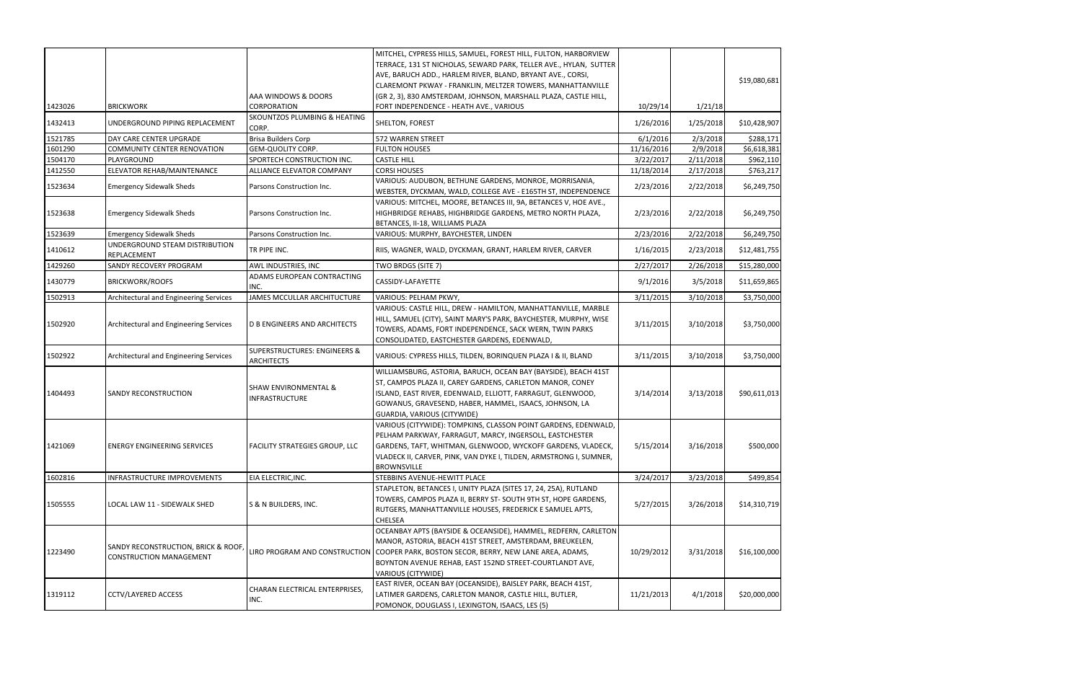| 1423026 | <b>BRICKWORK</b>                                                      | AAA WINDOWS & DOORS<br>CORPORATION                       | MITCHEL, CYPRESS HILLS, SAMUEL, FOREST HILL, FULTON, HARBORVIEW<br>TERRACE, 131 ST NICHOLAS, SEWARD PARK, TELLER AVE., HYLAN, SUTTER<br>AVE, BARUCH ADD., HARLEM RIVER, BLAND, BRYANT AVE., CORSI,<br>CLAREMONT PKWAY - FRANKLIN, MELTZER TOWERS, MANHATTANVILLE<br>(GR 2, 3), 830 AMSTERDAM, JOHNSON, MARSHALL PLAZA, CASTLE HILL,<br>FORT INDEPENDENCE - HEATH AVE., VARIOUS | 10/29/14   | 1/21/18   | \$19,080,681 |
|---------|-----------------------------------------------------------------------|----------------------------------------------------------|--------------------------------------------------------------------------------------------------------------------------------------------------------------------------------------------------------------------------------------------------------------------------------------------------------------------------------------------------------------------------------|------------|-----------|--------------|
| 1432413 | UNDERGROUND PIPING REPLACEMENT                                        | SKOUNTZOS PLUMBING & HEATING                             | SHELTON, FOREST                                                                                                                                                                                                                                                                                                                                                                | 1/26/2016  | 1/25/2018 | \$10,428,907 |
| 1521785 | DAY CARE CENTER UPGRADE                                               | CORP.<br><b>Brisa Builders Corp</b>                      | 572 WARREN STREET                                                                                                                                                                                                                                                                                                                                                              | 6/1/2016   | 2/3/2018  | \$288,171    |
| 1601290 | COMMUNITY CENTER RENOVATION                                           | GEM-QUOLITY CORP.                                        | <b>FULTON HOUSES</b>                                                                                                                                                                                                                                                                                                                                                           | 11/16/2016 | 2/9/2018  | \$6,618,381  |
| 1504170 | PLAYGROUND                                                            | SPORTECH CONSTRUCTION INC.                               | <b>CASTLE HILL</b>                                                                                                                                                                                                                                                                                                                                                             | 3/22/2017  | 2/11/2018 | \$962,110    |
| 1412550 | ELEVATOR REHAB/MAINTENANCE                                            | ALLIANCE ELEVATOR COMPANY                                | <b>CORSI HOUSES</b>                                                                                                                                                                                                                                                                                                                                                            | 11/18/2014 | 2/17/2018 | \$763,217    |
| 1523634 | <b>Emergency Sidewalk Sheds</b>                                       | Parsons Construction Inc.                                | VARIOUS: AUDUBON, BETHUNE GARDENS, MONROE, MORRISANIA,<br>WEBSTER, DYCKMAN, WALD, COLLEGE AVE - E165TH ST, INDEPENDENCE                                                                                                                                                                                                                                                        | 2/23/2016  | 2/22/2018 | \$6,249,750  |
| 1523638 | <b>Emergency Sidewalk Sheds</b>                                       | Parsons Construction Inc.                                | VARIOUS: MITCHEL, MOORE, BETANCES III, 9A, BETANCES V, HOE AVE.,<br>HIGHBRIDGE REHABS, HIGHBRIDGE GARDENS, METRO NORTH PLAZA,<br>BETANCES, II-18, WILLIAMS PLAZA                                                                                                                                                                                                               | 2/23/2016  | 2/22/2018 | \$6,249,750  |
| 1523639 | <b>Emergency Sidewalk Sheds</b>                                       | Parsons Construction Inc.                                | VARIOUS: MURPHY, BAYCHESTER, LINDEN                                                                                                                                                                                                                                                                                                                                            | 2/23/2016  | 2/22/2018 | \$6,249,750  |
| 1410612 | UNDERGROUND STEAM DISTRIBUTION<br>REPLACEMENT                         | TR PIPE INC.                                             | RIIS, WAGNER, WALD, DYCKMAN, GRANT, HARLEM RIVER, CARVER                                                                                                                                                                                                                                                                                                                       | 1/16/2015  | 2/23/2018 | \$12,481,755 |
| 1429260 | SANDY RECOVERY PROGRAM                                                | AWL INDUSTRIES, INC                                      | TWO BRDGS (SITE 7)                                                                                                                                                                                                                                                                                                                                                             | 2/27/2017  | 2/26/2018 | \$15,280,000 |
| 1430779 | <b>BRICKWORK/ROOFS</b>                                                | ADAMS EUROPEAN CONTRACTING<br>INC.                       | CASSIDY-LAFAYETTE                                                                                                                                                                                                                                                                                                                                                              | 9/1/2016   | 3/5/2018  | \$11,659,865 |
| 1502913 | Architectural and Engineering Services                                | JAMES MCCULLAR ARCHITUCTURE                              | VARIOUS: PELHAM PKWY,                                                                                                                                                                                                                                                                                                                                                          | 3/11/2015  | 3/10/2018 | \$3,750,000  |
| 1502920 | Architectural and Engineering Services                                | D B ENGINEERS AND ARCHITECTS                             | VARIOUS: CASTLE HILL, DREW - HAMILTON, MANHATTANVILLE, MARBLE<br>HILL, SAMUEL (CITY), SAINT MARY'S PARK, BAYCHESTER, MURPHY, WISE<br>TOWERS, ADAMS, FORT INDEPENDENCE, SACK WERN, TWIN PARKS<br>CONSOLIDATED, EASTCHESTER GARDENS, EDENWALD,                                                                                                                                   | 3/11/2015  | 3/10/2018 | \$3,750,000  |
| 1502922 | Architectural and Engineering Services                                | SUPERSTRUCTURES: ENGINEERS &<br><b>ARCHITECTS</b>        | VARIOUS: CYPRESS HILLS, TILDEN, BORINQUEN PLAZA I & II, BLAND                                                                                                                                                                                                                                                                                                                  | 3/11/2015  | 3/10/2018 | \$3,750,000  |
| 1404493 | SANDY RECONSTRUCTION                                                  | <b>SHAW ENVIRONMENTAL &amp;</b><br><b>INFRASTRUCTURE</b> | WILLIAMSBURG, ASTORIA, BARUCH, OCEAN BAY (BAYSIDE), BEACH 41ST<br>ST, CAMPOS PLAZA II, CAREY GARDENS, CARLETON MANOR, CONEY<br>ISLAND, EAST RIVER, EDENWALD, ELLIOTT, FARRAGUT, GLENWOOD,<br>GOWANUS, GRAVESEND, HABER, HAMMEL, ISAACS, JOHNSON, LA<br>GUARDIA, VARIOUS (CITYWIDE)                                                                                             | 3/14/2014  | 3/13/2018 | \$90,611,013 |
| 1421069 | <b>ENERGY ENGINEERING SERVICES</b>                                    | <b>FACILITY STRATEGIES GROUP, LLC</b>                    | VARIOUS (CITYWIDE): TOMPKINS, CLASSON POINT GARDENS, EDENWALD,<br>PELHAM PARKWAY, FARRAGUT, MARCY, INGERSOLL, EASTCHESTER<br>GARDENS, TAFT, WHITMAN, GLENWOOD, WYCKOFF GARDENS, VLADECK,<br>VLADECK II, CARVER, PINK, VAN DYKE I, TILDEN, ARMSTRONG I, SUMNER,<br><b>BROWNSVILLE</b>                                                                                           | 5/15/2014  | 3/16/2018 | \$500,000    |
| 1602816 | INFRASTRUCTURE IMPROVEMENTS                                           | EIA ELECTRIC, INC.                                       | STEBBINS AVENUE-HEWITT PLACE                                                                                                                                                                                                                                                                                                                                                   | 3/24/2017  | 3/23/2018 | \$499,854    |
| 1505555 | LOCAL LAW 11 - SIDEWALK SHED                                          | S & N BUILDERS, INC.                                     | STAPLETON, BETANCES I, UNITY PLAZA (SITES 17, 24, 25A), RUTLAND<br>TOWERS, CAMPOS PLAZA II, BERRY ST- SOUTH 9TH ST, HOPE GARDENS,<br>RUTGERS, MANHATTANVILLE HOUSES, FREDERICK E SAMUEL APTS,<br>CHELSEA                                                                                                                                                                       | 5/27/2015  | 3/26/2018 | \$14,310,719 |
| 1223490 | SANDY RECONSTRUCTION, BRICK & ROOF,<br><b>CONSTRUCTION MANAGEMENT</b> | LIRO PROGRAM AND CONSTRUCTION                            | OCEANBAY APTS (BAYSIDE & OCEANSIDE), HAMMEL, REDFERN, CARLETON<br>MANOR, ASTORIA, BEACH 41ST STREET, AMSTERDAM, BREUKELEN,<br>COOPER PARK, BOSTON SECOR, BERRY, NEW LANE AREA, ADAMS,<br>BOYNTON AVENUE REHAB, EAST 152ND STREET-COURTLANDT AVE,<br>VARIOUS (CITYWIDE)                                                                                                         | 10/29/2012 | 3/31/2018 | \$16,100,000 |
| 1319112 | <b>CCTV/LAYERED ACCESS</b>                                            | CHARAN ELECTRICAL ENTERPRISES,<br>INC.                   | EAST RIVER, OCEAN BAY (OCEANSIDE), BAISLEY PARK, BEACH 41ST,<br>LATIMER GARDENS, CARLETON MANOR, CASTLE HILL, BUTLER,<br>POMONOK, DOUGLASS I, LEXINGTON, ISAACS, LES (5)                                                                                                                                                                                                       | 11/21/2013 | 4/1/2018  | \$20,000,000 |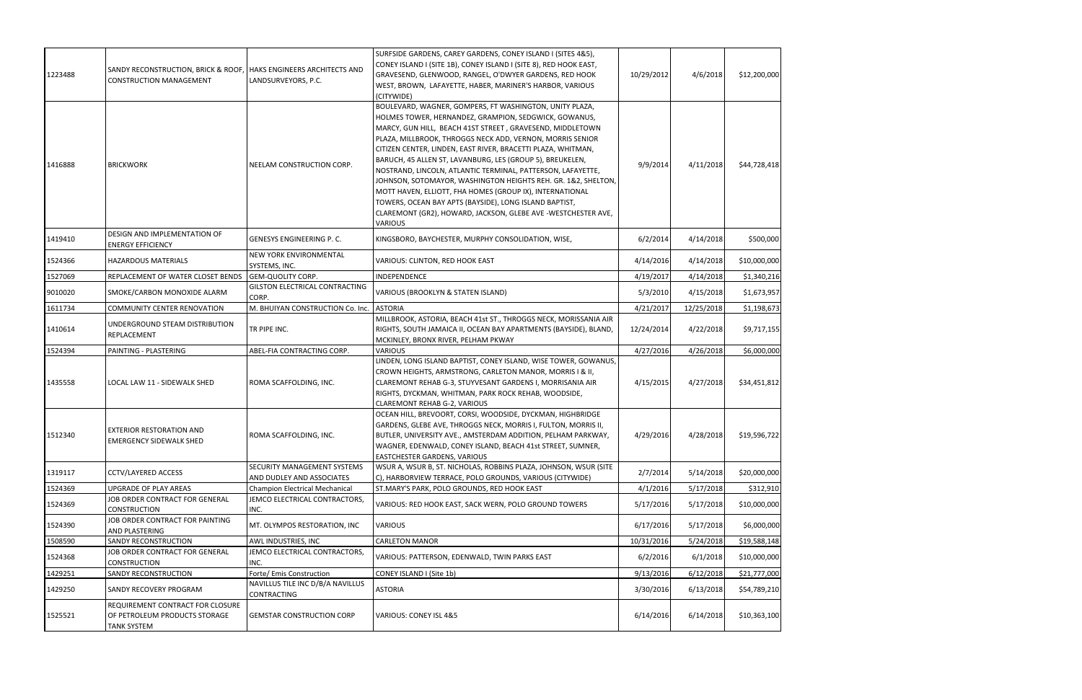| 1223488 | SANDY RECONSTRUCTION, BRICK & ROOF,<br>CONSTRUCTION MANAGEMENT                          | <b>HAKS ENGINEERS ARCHITECTS AND</b><br>LANDSURVEYORS, P.C.     | SURFSIDE GARDENS, CAREY GARDENS, CONEY ISLAND I (SITES 4&5),<br>CONEY ISLAND I (SITE 1B), CONEY ISLAND I (SITE 8), RED HOOK EAST,<br>GRAVESEND, GLENWOOD, RANGEL, O'DWYER GARDENS, RED HOOK<br>WEST, BROWN, LAFAYETTE, HABER, MARINER'S HARBOR, VARIOUS<br>(CITYWIDE)                                                                                                                                                                                                                                                                                                                                                                                                                                            | 10/29/2012 | 4/6/2018   | \$12,200,000 |
|---------|-----------------------------------------------------------------------------------------|-----------------------------------------------------------------|------------------------------------------------------------------------------------------------------------------------------------------------------------------------------------------------------------------------------------------------------------------------------------------------------------------------------------------------------------------------------------------------------------------------------------------------------------------------------------------------------------------------------------------------------------------------------------------------------------------------------------------------------------------------------------------------------------------|------------|------------|--------------|
| 1416888 | <b>BRICKWORK</b>                                                                        | NEELAM CONSTRUCTION CORP.                                       | BOULEVARD, WAGNER, GOMPERS, FT WASHINGTON, UNITY PLAZA,<br>HOLMES TOWER, HERNANDEZ, GRAMPION, SEDGWICK, GOWANUS,<br>MARCY, GUN HILL, BEACH 41ST STREET, GRAVESEND, MIDDLETOWN<br>PLAZA, MILLBROOK, THROGGS NECK ADD, VERNON, MORRIS SENIOR<br>CITIZEN CENTER, LINDEN, EAST RIVER, BRACETTI PLAZA, WHITMAN,<br>BARUCH, 45 ALLEN ST, LAVANBURG, LES (GROUP 5), BREUKELEN,<br>NOSTRAND, LINCOLN, ATLANTIC TERMINAL, PATTERSON, LAFAYETTE,<br>JOHNSON, SOTOMAYOR, WASHINGTON HEIGHTS REH. GR. 1&2, SHELTON,<br>MOTT HAVEN, ELLIOTT, FHA HOMES (GROUP IX), INTERNATIONAL<br>TOWERS, OCEAN BAY APTS (BAYSIDE), LONG ISLAND BAPTIST,<br>CLAREMONT (GR2), HOWARD, JACKSON, GLEBE AVE -WESTCHESTER AVE,<br><b>VARIOUS</b> | 9/9/2014   | 4/11/2018  | \$44,728,418 |
| 1419410 | DESIGN AND IMPLEMENTATION OF<br><b>ENERGY EFFICIENCY</b>                                | GENESYS ENGINEERING P. C.                                       | KINGSBORO, BAYCHESTER, MURPHY CONSOLIDATION, WISE,                                                                                                                                                                                                                                                                                                                                                                                                                                                                                                                                                                                                                                                               | 6/2/2014   | 4/14/2018  | \$500,000    |
| 1524366 | <b>HAZARDOUS MATERIALS</b>                                                              | <b>NEW YORK ENVIRONMENTAL</b><br>SYSTEMS, INC.                  | VARIOUS: CLINTON, RED HOOK EAST                                                                                                                                                                                                                                                                                                                                                                                                                                                                                                                                                                                                                                                                                  | 4/14/2016  | 4/14/2018  | \$10,000,000 |
| 1527069 | REPLACEMENT OF WATER CLOSET BENDS                                                       | <b>GEM-QUOLITY CORP.</b>                                        | <b>INDEPENDENCE</b>                                                                                                                                                                                                                                                                                                                                                                                                                                                                                                                                                                                                                                                                                              | 4/19/2017  | 4/14/2018  | \$1,340,216  |
| 9010020 | SMOKE/CARBON MONOXIDE ALARM                                                             | <b>GILSTON ELECTRICAL CONTRACTING</b><br>CORP.                  | VARIOUS (BROOKLYN & STATEN ISLAND)                                                                                                                                                                                                                                                                                                                                                                                                                                                                                                                                                                                                                                                                               | 5/3/2010   | 4/15/2018  | \$1,673,957  |
| 1611734 | COMMUNITY CENTER RENOVATION                                                             | M. BHUIYAN CONSTRUCTION Co. Inc.                                | <b>ASTORIA</b>                                                                                                                                                                                                                                                                                                                                                                                                                                                                                                                                                                                                                                                                                                   | 4/21/2017  | 12/25/2018 | \$1,198,673  |
| 1410614 | UNDERGROUND STEAM DISTRIBUTION<br>REPLACEMENT                                           | TR PIPE INC.                                                    | MILLBROOK, ASTORIA, BEACH 41st ST., THROGGS NECK, MORISSANIA AIR<br>RIGHTS, SOUTH JAMAICA II, OCEAN BAY APARTMENTS (BAYSIDE), BLAND,<br>MCKINLEY, BRONX RIVER, PELHAM PKWAY                                                                                                                                                                                                                                                                                                                                                                                                                                                                                                                                      | 12/24/2014 | 4/22/2018  | \$9,717,155  |
| 1524394 | PAINTING - PLASTERING                                                                   | ABEL-FIA CONTRACTING CORP.                                      | <b>VARIOUS</b>                                                                                                                                                                                                                                                                                                                                                                                                                                                                                                                                                                                                                                                                                                   | 4/27/2016  | 4/26/2018  | \$6,000,000  |
| 1435558 | LOCAL LAW 11 - SIDEWALK SHED                                                            | ROMA SCAFFOLDING, INC.                                          | LINDEN, LONG ISLAND BAPTIST, CONEY ISLAND, WISE TOWER, GOWANUS,<br>CROWN HEIGHTS, ARMSTRONG, CARLETON MANOR, MORRIS I & II,<br>CLAREMONT REHAB G-3, STUYVESANT GARDENS I, MORRISANIA AIR<br>RIGHTS, DYCKMAN, WHITMAN, PARK ROCK REHAB, WOODSIDE,<br>CLAREMONT REHAB G-2, VARIOUS                                                                                                                                                                                                                                                                                                                                                                                                                                 | 4/15/2015  | 4/27/2018  | \$34,451,812 |
| 1512340 | EXTERIOR RESTORATION AND<br>EMERGENCY SIDEWALK SHED                                     | ROMA SCAFFOLDING, INC.                                          | OCEAN HILL, BREVOORT, CORSI, WOODSIDE, DYCKMAN, HIGHBRIDGE<br>GARDENS, GLEBE AVE, THROGGS NECK, MORRIS I, FULTON, MORRIS II,<br>BUTLER, UNIVERSITY AVE., AMSTERDAM ADDITION, PELHAM PARKWAY,<br>WAGNER, EDENWALD, CONEY ISLAND, BEACH 41st STREET, SUMNER,<br><b>EASTCHESTER GARDENS, VARIOUS</b>                                                                                                                                                                                                                                                                                                                                                                                                                | 4/29/2016  | 4/28/2018  | \$19,596,722 |
| 1319117 | <b>CCTV/LAYERED ACCESS</b>                                                              | <b>SECURITY MANAGEMENT SYSTEMS</b><br>AND DUDLEY AND ASSOCIATES | WSUR A, WSUR B, ST. NICHOLAS, ROBBINS PLAZA, JOHNSON, WSUR (SITE<br>C), HARBORVIEW TERRACE, POLO GROUNDS, VARIOUS (CITYWIDE)                                                                                                                                                                                                                                                                                                                                                                                                                                                                                                                                                                                     | 2/7/2014   | 5/14/2018  | \$20,000,000 |
| 1524369 | UPGRADE OF PLAY AREAS                                                                   | <b>Champion Electrical Mechanical</b>                           | ST.MARY'S PARK, POLO GROUNDS, RED HOOK EAST                                                                                                                                                                                                                                                                                                                                                                                                                                                                                                                                                                                                                                                                      | 4/1/2016   | 5/17/2018  | \$312,910    |
| 1524369 | JOB ORDER CONTRACT FOR GENERAL<br>CONSTRUCTION                                          | JEMCO ELECTRICAL CONTRACTORS,<br>INC.                           | VARIOUS: RED HOOK EAST, SACK WERN, POLO GROUND TOWERS                                                                                                                                                                                                                                                                                                                                                                                                                                                                                                                                                                                                                                                            | 5/17/2016  | 5/17/2018  | \$10,000,000 |
| 1524390 | JOB ORDER CONTRACT FOR PAINTING<br>AND PLASTERING                                       | MT. OLYMPOS RESTORATION, INC                                    | <b>VARIOUS</b>                                                                                                                                                                                                                                                                                                                                                                                                                                                                                                                                                                                                                                                                                                   | 6/17/2016  | 5/17/2018  | \$6,000,000  |
| 1508590 | SANDY RECONSTRUCTION                                                                    | AWL INDUSTRIES, INC                                             | <b>CARLETON MANOR</b>                                                                                                                                                                                                                                                                                                                                                                                                                                                                                                                                                                                                                                                                                            | 10/31/2016 | 5/24/2018  | \$19,588,148 |
| 1524368 | JOB ORDER CONTRACT FOR GENERAL<br><b>CONSTRUCTION</b>                                   | JEMCO ELECTRICAL CONTRACTORS,<br>INC.                           | VARIOUS: PATTERSON, EDENWALD, TWIN PARKS EAST                                                                                                                                                                                                                                                                                                                                                                                                                                                                                                                                                                                                                                                                    | 6/2/2016   | 6/1/2018   | \$10,000,000 |
| 1429251 | SANDY RECONSTRUCTION                                                                    | Forte/ Emis Construction                                        | CONEY ISLAND I (Site 1b)                                                                                                                                                                                                                                                                                                                                                                                                                                                                                                                                                                                                                                                                                         | 9/13/2016  | 6/12/2018  | \$21,777,000 |
| 1429250 | SANDY RECOVERY PROGRAM                                                                  | NAVILLUS TILE INC D/B/A NAVILLUS<br>CONTRACTING                 | <b>ASTORIA</b>                                                                                                                                                                                                                                                                                                                                                                                                                                                                                                                                                                                                                                                                                                   | 3/30/2016  | 6/13/2018  | \$54,789,210 |
| 1525521 | REQUIREMENT CONTRACT FOR CLOSURE<br>OF PETROLEUM PRODUCTS STORAGE<br><b>TANK SYSTEM</b> | <b>GEMSTAR CONSTRUCTION CORP</b>                                | VARIOUS: CONEY ISL 4&5                                                                                                                                                                                                                                                                                                                                                                                                                                                                                                                                                                                                                                                                                           | 6/14/2016  | 6/14/2018  | \$10,363,100 |
|         |                                                                                         |                                                                 |                                                                                                                                                                                                                                                                                                                                                                                                                                                                                                                                                                                                                                                                                                                  |            |            |              |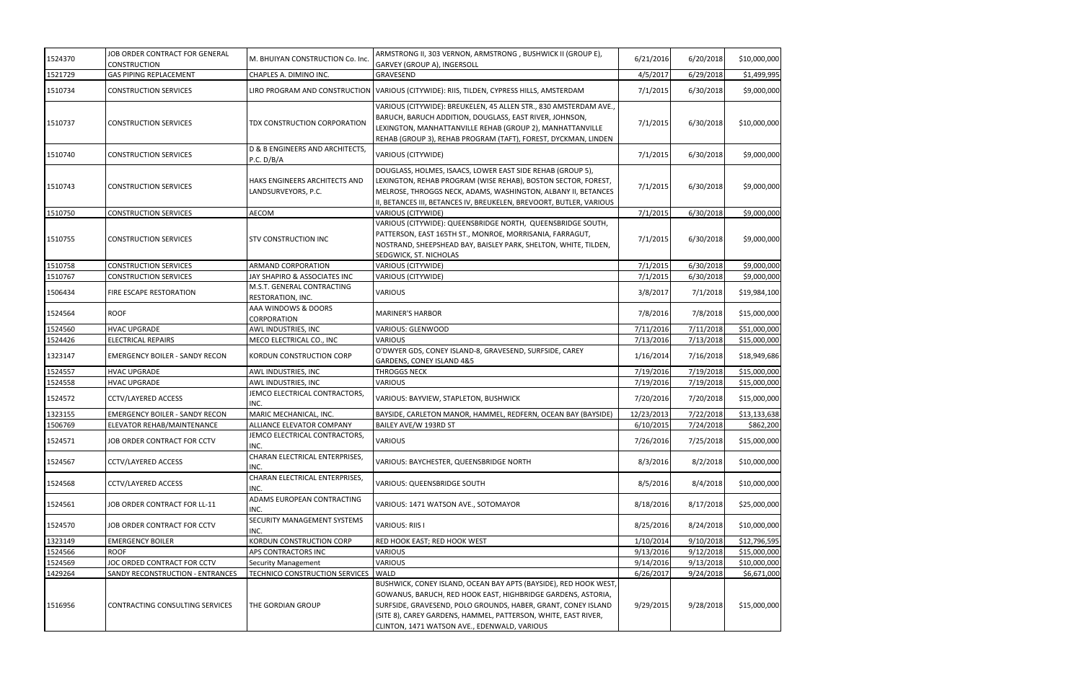| 1524370 | JOB ORDER CONTRACT FOR GENERAL<br><b>CONSTRUCTION</b> | M. BHUIYAN CONSTRUCTION Co. Inc.                     | ARMSTRONG II, 303 VERNON, ARMSTRONG, BUSHWICK II (GROUP E),<br>GARVEY (GROUP A), INGERSOLL                                                                                                                                                                                                                         | 6/21/2016  | 6/20/2018 | \$10,000,000 |
|---------|-------------------------------------------------------|------------------------------------------------------|--------------------------------------------------------------------------------------------------------------------------------------------------------------------------------------------------------------------------------------------------------------------------------------------------------------------|------------|-----------|--------------|
| 1521729 | <b>GAS PIPING REPLACEMENT</b>                         | CHAPLES A. DIMINO INC.                               | GRAVESEND                                                                                                                                                                                                                                                                                                          | 4/5/2017   | 6/29/2018 | \$1,499,995  |
| 1510734 | <b>CONSTRUCTION SERVICES</b>                          |                                                      | LIRO PROGRAM AND CONSTRUCTION   VARIOUS (CITYWIDE): RIIS, TILDEN, CYPRESS HILLS, AMSTERDAM                                                                                                                                                                                                                         | 7/1/2015   | 6/30/2018 | \$9,000,000  |
| 1510737 | <b>CONSTRUCTION SERVICES</b>                          | TDX CONSTRUCTION CORPORATION                         | VARIOUS (CITYWIDE): BREUKELEN, 45 ALLEN STR., 830 AMSTERDAM AVE.,<br>BARUCH, BARUCH ADDITION, DOUGLASS, EAST RIVER, JOHNSON,<br>LEXINGTON, MANHATTANVILLE REHAB (GROUP 2), MANHATTANVILLE<br>REHAB (GROUP 3), REHAB PROGRAM (TAFT), FOREST, DYCKMAN, LINDEN                                                        | 7/1/2015   | 6/30/2018 | \$10,000,000 |
| 1510740 | <b>CONSTRUCTION SERVICES</b>                          | D & B ENGINEERS AND ARCHITECTS,<br>P.C. D/B/A        | VARIOUS (CITYWIDE)                                                                                                                                                                                                                                                                                                 | 7/1/2015   | 6/30/2018 | \$9,000,000  |
| 1510743 | <b>CONSTRUCTION SERVICES</b>                          | HAKS ENGINEERS ARCHITECTS AND<br>LANDSURVEYORS, P.C. | DOUGLASS, HOLMES, ISAACS, LOWER EAST SIDE REHAB (GROUP 5),<br>LEXINGTON, REHAB PROGRAM (WISE REHAB), BOSTON SECTOR, FOREST,<br>MELROSE, THROGGS NECK, ADAMS, WASHINGTON, ALBANY II, BETANCES<br>II, BETANCES III, BETANCES IV, BREUKELEN, BREVOORT, BUTLER, VARIOUS                                                | 7/1/2015   | 6/30/2018 | \$9,000,000  |
| 1510750 | <b>CONSTRUCTION SERVICES</b>                          | <b>AECOM</b>                                         | VARIOUS (CITYWIDE)                                                                                                                                                                                                                                                                                                 | 7/1/2015   | 6/30/2018 | \$9,000,000  |
| 1510755 | <b>CONSTRUCTION SERVICES</b>                          | <b>STV CONSTRUCTION INC</b>                          | VARIOUS (CITYWIDE): QUEENSBRIDGE NORTH, QUEENSBRIDGE SOUTH,<br>PATTERSON, EAST 165TH ST., MONROE, MORRISANIA, FARRAGUT,<br>NOSTRAND, SHEEPSHEAD BAY, BAISLEY PARK, SHELTON, WHITE, TILDEN,<br>SEDGWICK, ST. NICHOLAS                                                                                               | 7/1/2015   | 6/30/2018 | \$9,000,000  |
| 1510758 | <b>CONSTRUCTION SERVICES</b>                          | ARMAND CORPORATION                                   | VARIOUS (CITYWIDE)                                                                                                                                                                                                                                                                                                 | 7/1/2015   | 6/30/2018 | \$9,000,000  |
| 1510767 | <b>CONSTRUCTION SERVICES</b>                          | JAY SHAPIRO & ASSOCIATES INC                         | VARIOUS (CITYWIDE)                                                                                                                                                                                                                                                                                                 | 7/1/2015   | 6/30/2018 | \$9,000,000  |
| 1506434 | FIRE ESCAPE RESTORATION                               | M.S.T. GENERAL CONTRACTING<br>RESTORATION, INC.      | <b>VARIOUS</b>                                                                                                                                                                                                                                                                                                     | 3/8/2017   | 7/1/2018  | \$19,984,100 |
| 1524564 | <b>ROOF</b>                                           | AAA WINDOWS & DOORS<br>CORPORATION                   | <b>MARINER'S HARBOR</b>                                                                                                                                                                                                                                                                                            | 7/8/2016   | 7/8/2018  | \$15,000,000 |
| 1524560 | <b>HVAC UPGRADE</b>                                   | AWL INDUSTRIES, INC                                  | VARIOUS: GLENWOOD                                                                                                                                                                                                                                                                                                  | 7/11/2016  | 7/11/2018 | \$51,000,000 |
| 1524426 | <b>ELECTRICAL REPAIRS</b>                             | MECO ELECTRICAL CO., INC                             | <b>VARIOUS</b>                                                                                                                                                                                                                                                                                                     | 7/13/2016  | 7/13/2018 | \$15,000,000 |
| 1323147 | <b>EMERGENCY BOILER - SANDY RECON</b>                 | KORDUN CONSTRUCTION CORP                             | O'DWYER GDS, CONEY ISLAND-8, GRAVESEND, SURFSIDE, CAREY<br>GARDENS, CONEY ISLAND 4&5                                                                                                                                                                                                                               | 1/16/2014  | 7/16/2018 | \$18,949,686 |
| 1524557 | <b>HVAC UPGRADE</b>                                   | AWL INDUSTRIES, INC                                  | <b>THROGGS NECK</b>                                                                                                                                                                                                                                                                                                | 7/19/2016  | 7/19/2018 | \$15,000,000 |
| 1524558 | <b>HVAC UPGRADE</b>                                   | AWL INDUSTRIES, INC                                  | VARIOUS                                                                                                                                                                                                                                                                                                            | 7/19/2016  | 7/19/2018 | \$15,000,000 |
| 1524572 | <b>CCTV/LAYERED ACCESS</b>                            | JEMCO ELECTRICAL CONTRACTORS,<br>INC.                | VARIOUS: BAYVIEW, STAPLETON, BUSHWICK                                                                                                                                                                                                                                                                              | 7/20/2016  | 7/20/2018 | \$15,000,000 |
| 1323155 | <b>EMERGENCY BOILER - SANDY RECON</b>                 | MARIC MECHANICAL, INC.                               | BAYSIDE, CARLETON MANOR, HAMMEL, REDFERN, OCEAN BAY (BAYSIDE)                                                                                                                                                                                                                                                      | 12/23/2013 | 7/22/2018 | \$13,133,638 |
| 1506769 | ELEVATOR REHAB/MAINTENANCE                            | ALLIANCE ELEVATOR COMPANY                            | BAILEY AVE/W 193RD ST                                                                                                                                                                                                                                                                                              | 6/10/2015  | 7/24/2018 | \$862,200    |
| 1524571 | JOB ORDER CONTRACT FOR CCTV                           | JEMCO ELECTRICAL CONTRACTORS,<br>INC.                | VARIOUS                                                                                                                                                                                                                                                                                                            | 7/26/2016  | 7/25/2018 | \$15,000,000 |
| 1524567 | <b>CCTV/LAYERED ACCESS</b>                            | CHARAN ELECTRICAL ENTERPRISES,<br>INC.               | VARIOUS: BAYCHESTER, QUEENSBRIDGE NORTH                                                                                                                                                                                                                                                                            | 8/3/2016   | 8/2/2018  | \$10,000,000 |
| 1524568 | <b>CCTV/LAYERED ACCESS</b>                            | CHARAN ELECTRICAL ENTERPRISES,<br>INC.               | VARIOUS: QUEENSBRIDGE SOUTH                                                                                                                                                                                                                                                                                        | 8/5/2016   | 8/4/2018  | \$10,000,000 |
| 1524561 | JOB ORDER CONTRACT FOR LL-11                          | ADAMS EUROPEAN CONTRACTING<br>INC.                   | VARIOUS: 1471 WATSON AVE., SOTOMAYOR                                                                                                                                                                                                                                                                               | 8/18/2016  | 8/17/2018 | \$25,000,000 |
| 1524570 | JOB ORDER CONTRACT FOR CCTV                           | SECURITY MANAGEMENT SYSTEMS<br>INC.                  | <b>VARIOUS: RIIS I</b>                                                                                                                                                                                                                                                                                             | 8/25/2016  | 8/24/2018 | \$10,000,000 |
| 1323149 | <b>EMERGENCY BOILER</b>                               | KORDUN CONSTRUCTION CORP                             | RED HOOK EAST; RED HOOK WEST                                                                                                                                                                                                                                                                                       | 1/10/2014  | 9/10/2018 | \$12,796,595 |
| 1524566 | <b>ROOF</b>                                           | APS CONTRACTORS INC                                  | <b>VARIOUS</b>                                                                                                                                                                                                                                                                                                     | 9/13/2016  | 9/12/2018 | \$15,000,000 |
| 1524569 | JOC ORDED CONTRACT FOR CCTV                           | <b>Security Management</b>                           | <b>VARIOUS</b>                                                                                                                                                                                                                                                                                                     | 9/14/2016  | 9/13/2018 | \$10,000,000 |
| 1429264 | SANDY RECONSTRUCTION - ENTRANCES                      | TECHNICO CONSTRUCTION SERVICES                       | <b>WALD</b>                                                                                                                                                                                                                                                                                                        | 6/26/2017  | 9/24/2018 | \$6,671,000  |
| 1516956 | CONTRACTING CONSULTING SERVICES                       | THE GORDIAN GROUP                                    | BUSHWICK, CONEY ISLAND, OCEAN BAY APTS (BAYSIDE), RED HOOK WEST<br>GOWANUS, BARUCH, RED HOOK EAST, HIGHBRIDGE GARDENS, ASTORIA,<br>SURFSIDE, GRAVESEND, POLO GROUNDS, HABER, GRANT, CONEY ISLAND<br>(SITE 8), CAREY GARDENS, HAMMEL, PATTERSON, WHITE, EAST RIVER,<br>CLINTON, 1471 WATSON AVE., EDENWALD, VARIOUS | 9/29/2015  | 9/28/2018 | \$15,000,000 |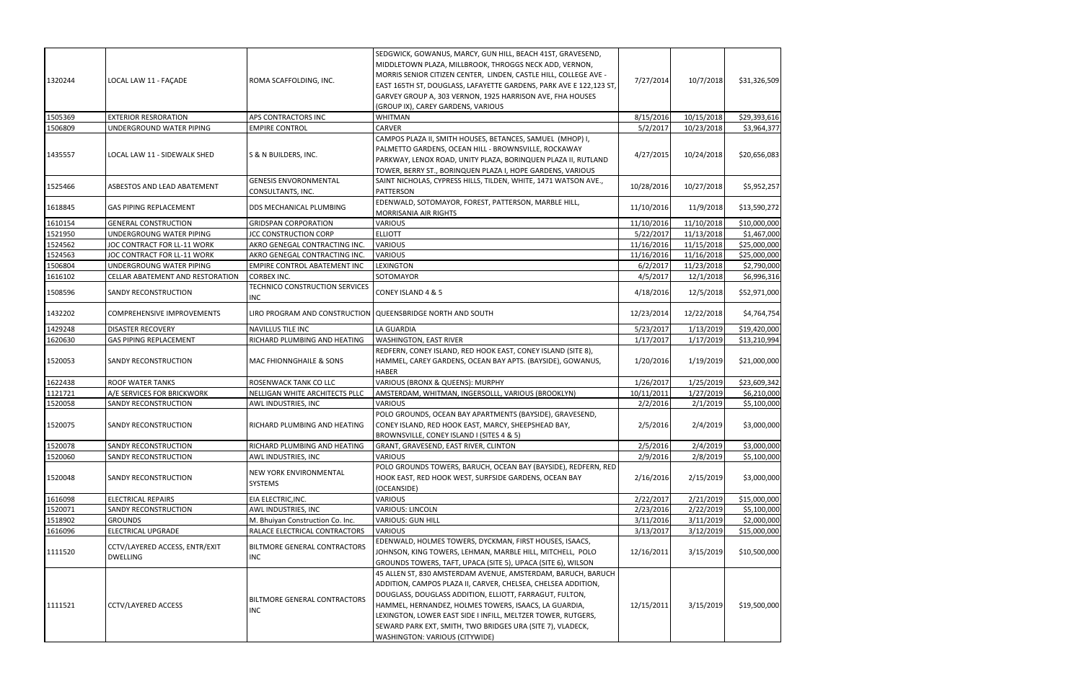| 1320244 | LOCAL LAW 11 - FAÇADE                             | ROMA SCAFFOLDING, INC.                                     | SEDGWICK, GOWANUS, MARCY, GUN HILL, BEACH 41ST, GRAVESEND,<br>MIDDLETOWN PLAZA, MILLBROOK, THROGGS NECK ADD, VERNON,<br>MORRIS SENIOR CITIZEN CENTER, LINDEN, CASTLE HILL, COLLEGE AVE -<br>EAST 165TH ST, DOUGLASS, LAFAYETTE GARDENS, PARK AVE E 122,123 ST,<br>GARVEY GROUP A, 303 VERNON, 1925 HARRISON AVE, FHA HOUSES<br>(GROUP IX), CAREY GARDENS, VARIOUS                                                 | 7/27/2014  | 10/7/2018  | \$31,326,509 |
|---------|---------------------------------------------------|------------------------------------------------------------|-------------------------------------------------------------------------------------------------------------------------------------------------------------------------------------------------------------------------------------------------------------------------------------------------------------------------------------------------------------------------------------------------------------------|------------|------------|--------------|
| 1505369 | <b>EXTERIOR RESRORATION</b>                       | APS CONTRACTORS INC                                        | WHITMAN                                                                                                                                                                                                                                                                                                                                                                                                           | 8/15/2016  | 10/15/2018 | \$29,393,616 |
| 1506809 | UNDERGROUND WATER PIPING                          | <b>EMPIRE CONTROL</b>                                      | <b>CARVER</b>                                                                                                                                                                                                                                                                                                                                                                                                     | 5/2/2017   | 10/23/2018 | \$3,964,377  |
| 1435557 | LOCAL LAW 11 - SIDEWALK SHED                      | S & N BUILDERS, INC.                                       | CAMPOS PLAZA II, SMITH HOUSES, BETANCES, SAMUEL (MHOP) I,<br>PALMETTO GARDENS, OCEAN HILL - BROWNSVILLE, ROCKAWAY<br>PARKWAY, LENOX ROAD, UNITY PLAZA, BORINQUEN PLAZA II, RUTLAND<br>TOWER, BERRY ST., BORINQUEN PLAZA I, HOPE GARDENS, VARIOUS                                                                                                                                                                  | 4/27/2015  | 10/24/2018 | \$20,656,083 |
| 1525466 | ASBESTOS AND LEAD ABATEMENT                       | <b>GENESIS ENVORONMENTAL</b><br>CONSULTANTS, INC.          | SAINT NICHOLAS, CYPRESS HILLS, TILDEN, WHITE, 1471 WATSON AVE.,<br>PATTERSON                                                                                                                                                                                                                                                                                                                                      | 10/28/2016 | 10/27/2018 | \$5,952,257  |
| 1618845 | <b>GAS PIPING REPLACEMENT</b>                     | DDS MECHANICAL PLUMBING                                    | EDENWALD, SOTOMAYOR, FOREST, PATTERSON, MARBLE HILL,<br>MORRISANIA AIR RIGHTS                                                                                                                                                                                                                                                                                                                                     | 11/10/2016 | 11/9/2018  | \$13,590,272 |
| 1610154 | <b>GENERAL CONSTRUCTION</b>                       | <b>GRIDSPAN CORPORATION</b>                                | VARIOUS                                                                                                                                                                                                                                                                                                                                                                                                           | 11/10/2016 | 11/10/2018 | \$10,000,000 |
| 1521950 | UNDERGROUNG WATER PIPING                          | <b>JCC CONSTRUCTION CORP</b>                               | <b>ELLIOTT</b>                                                                                                                                                                                                                                                                                                                                                                                                    | 5/22/2017  | 11/13/2018 | \$1,467,000  |
| 1524562 | JOC CONTRACT FOR LL-11 WORK                       | AKRO GENEGAL CONTRACTING INC.                              | <b>VARIOUS</b>                                                                                                                                                                                                                                                                                                                                                                                                    | 11/16/2016 | 11/15/2018 | \$25,000,000 |
| 1524563 | JOC CONTRACT FOR LL-11 WORK                       | AKRO GENEGAL CONTRACTING INC.                              | <b>VARIOUS</b>                                                                                                                                                                                                                                                                                                                                                                                                    | 11/16/2016 | 11/16/2018 | \$25,000,000 |
| 1506804 | UNDERGROUNG WATER PIPING                          | EMPIRE CONTROL ABATEMENT INC                               | LEXINGTON                                                                                                                                                                                                                                                                                                                                                                                                         | 6/2/2017   | 11/23/2018 | \$2,790,000  |
| 1616102 | CELLAR ABATEMENT AND RESTORATION                  | <b>CORBEX INC.</b>                                         | SOTOMAYOR                                                                                                                                                                                                                                                                                                                                                                                                         | 4/5/2017   | 12/1/2018  | \$6,996,316  |
| 1508596 | SANDY RECONSTRUCTION                              | TECHNICO CONSTRUCTION SERVICES<br><b>INC</b>               | CONEY ISLAND 4 & 5                                                                                                                                                                                                                                                                                                                                                                                                | 4/18/2016  | 12/5/2018  | \$52,971,000 |
| 1432202 | COMPREHENSIVE IMPROVEMENTS                        | LIRO PROGRAM AND CONSTRUCTION QUEENSBRIDGE NORTH AND SOUTH |                                                                                                                                                                                                                                                                                                                                                                                                                   | 12/23/2014 | 12/22/2018 | \$4,764,754  |
| 1429248 | <b>DISASTER RECOVERY</b>                          | NAVILLUS TILE INC                                          | LA GUARDIA                                                                                                                                                                                                                                                                                                                                                                                                        | 5/23/2017  | 1/13/2019  | \$19,420,000 |
| 1620630 | GAS PIPING REPLACEMENT                            | RICHARD PLUMBING AND HEATING                               | <b>WASHINGTON, EAST RIVER</b>                                                                                                                                                                                                                                                                                                                                                                                     | 1/17/2017  | 1/17/2019  | \$13,210,994 |
| 1520053 | SANDY RECONSTRUCTION                              | MAC FHIONNGHAILE & SONS                                    | REDFERN, CONEY ISLAND, RED HOOK EAST, CONEY ISLAND (SITE 8),<br>HAMMEL, CAREY GARDENS, OCEAN BAY APTS. (BAYSIDE), GOWANUS,<br><b>HABER</b>                                                                                                                                                                                                                                                                        | 1/20/2016  | 1/19/2019  | \$21,000,000 |
| 1622438 | <b>ROOF WATER TANKS</b>                           | ROSENWACK TANK CO LLC                                      | VARIOUS (BRONX & QUEENS): MURPHY                                                                                                                                                                                                                                                                                                                                                                                  | 1/26/2017  | 1/25/2019  | \$23,609,342 |
| 1121721 | A/E SERVICES FOR BRICKWORK                        | NELLIGAN WHITE ARCHITECTS PLLC                             | AMSTERDAM, WHITMAN, INGERSOLLL, VARIOUS (BROOKLYN)                                                                                                                                                                                                                                                                                                                                                                | 10/11/2011 | 1/27/2019  | \$6,210,000  |
| 1520058 | SANDY RECONSTRUCTION                              | AWL INDUSTRIES, INC                                        | VARIOUS                                                                                                                                                                                                                                                                                                                                                                                                           | 2/2/2016   | 2/1/2019   | \$5,100,000  |
| 1520075 | SANDY RECONSTRUCTION                              | RICHARD PLUMBING AND HEATING                               | POLO GROUNDS, OCEAN BAY APARTMENTS (BAYSIDE), GRAVESEND,<br>CONEY ISLAND, RED HOOK EAST, MARCY, SHEEPSHEAD BAY,<br>BROWNSVILLE, CONEY ISLAND I (SITES 4 & 5)                                                                                                                                                                                                                                                      | 2/5/2016   | 2/4/2019   | \$3,000,000  |
| 1520078 | SANDY RECONSTRUCTION                              | RICHARD PLUMBING AND HEATING                               | GRANT, GRAVESEND, EAST RIVER, CLINTON                                                                                                                                                                                                                                                                                                                                                                             | 2/5/2016   | 2/4/2019   | \$3,000,000  |
| 1520060 | SANDY RECONSTRUCTION                              | AWL INDUSTRIES, INC                                        | VARIOUS                                                                                                                                                                                                                                                                                                                                                                                                           | 2/9/2016   | 2/8/2019   | \$5,100,000  |
| 1520048 | SANDY RECONSTRUCTION                              | NEW YORK ENVIRONMENTAL<br>SYSTEMS                          | POLO GROUNDS TOWERS, BARUCH, OCEAN BAY (BAYSIDE), REDFERN, RED<br>HOOK EAST, RED HOOK WEST, SURFSIDE GARDENS, OCEAN BAY<br>(OCEANSIDE)                                                                                                                                                                                                                                                                            | 2/16/2016  | 2/15/2019  | \$3,000,000  |
| 1616098 | <b>ELECTRICAL REPAIRS</b>                         | EIA ELECTRIC, INC.                                         | VARIOUS                                                                                                                                                                                                                                                                                                                                                                                                           | 2/22/2017  | 2/21/2019  | \$15,000,000 |
| 1520071 | SANDY RECONSTRUCTION                              | AWL INDUSTRIES, INC                                        | <b>VARIOUS: LINCOLN</b>                                                                                                                                                                                                                                                                                                                                                                                           | 2/23/2016  | 2/22/2019  | \$5,100,000  |
| 1518902 | <b>GROUNDS</b>                                    | M. Bhuiyan Construction Co. Inc.                           | <b>VARIOUS: GUN HILL</b>                                                                                                                                                                                                                                                                                                                                                                                          | 3/11/2016  | 3/11/2019  | \$2,000,000  |
| 1616096 | ELECTRICAL UPGRADE                                | RALACE ELECTRICAL CONTRACTORS                              | VARIOUS                                                                                                                                                                                                                                                                                                                                                                                                           | 3/13/2017  | 3/12/2019  | \$15,000,000 |
| 1111520 | CCTV/LAYERED ACCESS, ENTR/EXIT<br><b>DWELLING</b> | BILTMORE GENERAL CONTRACTORS<br><b>INC</b>                 | EDENWALD, HOLMES TOWERS, DYCKMAN, FIRST HOUSES, ISAACS,<br>JOHNSON, KING TOWERS, LEHMAN, MARBLE HILL, MITCHELL, POLO<br>GROUNDS TOWERS, TAFT, UPACA (SITE 5), UPACA (SITE 6), WILSON                                                                                                                                                                                                                              | 12/16/2011 | 3/15/2019  | \$10,500,000 |
| 1111521 | <b>CCTV/LAYERED ACCESS</b>                        | <b>BILTMORE GENERAL CONTRACTORS</b><br><b>INC</b>          | 45 ALLEN ST, 830 AMSTERDAM AVENUE, AMSTERDAM, BARUCH, BARUCH<br>ADDITION, CAMPOS PLAZA II, CARVER, CHELSEA, CHELSEA ADDITION,<br>DOUGLASS, DOUGLASS ADDITION, ELLIOTT, FARRAGUT, FULTON,<br>HAMMEL, HERNANDEZ, HOLMES TOWERS, ISAACS, LA GUARDIA,<br>LEXINGTON, LOWER EAST SIDE I INFILL, MELTZER TOWER, RUTGERS,<br>SEWARD PARK EXT, SMITH, TWO BRIDGES URA (SITE 7), VLADECK,<br>WASHINGTON: VARIOUS (CITYWIDE) | 12/15/2011 | 3/15/2019  | \$19,500,000 |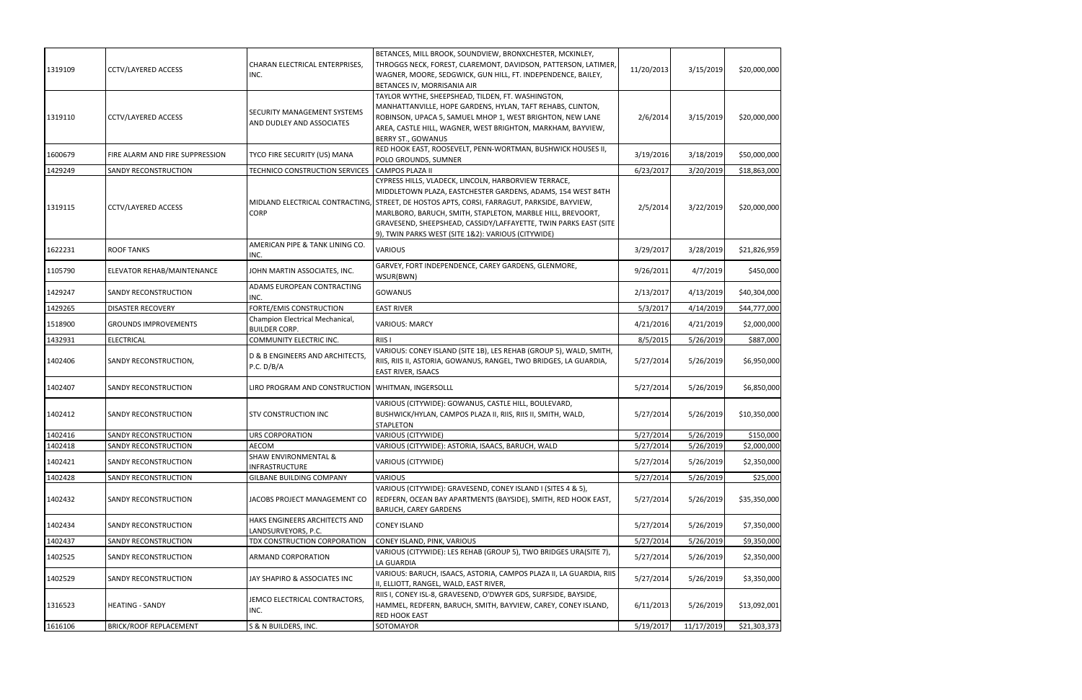| 1319109 | <b>CCTV/LAYERED ACCESS</b>      | CHARAN ELECTRICAL ENTERPRISES,<br>INC.                   | BETANCES, MILL BROOK, SOUNDVIEW, BRONXCHESTER, MCKINLEY,<br>THROGGS NECK, FOREST, CLAREMONT, DAVIDSON, PATTERSON, LATIMER,<br>WAGNER, MOORE, SEDGWICK, GUN HILL, FT. INDEPENDENCE, BAILEY,<br>BETANCES IV, MORRISANIA AIR                                                                                                                                                  | 11/20/2013 | 3/15/2019  | \$20,000,000 |
|---------|---------------------------------|----------------------------------------------------------|----------------------------------------------------------------------------------------------------------------------------------------------------------------------------------------------------------------------------------------------------------------------------------------------------------------------------------------------------------------------------|------------|------------|--------------|
| 1319110 | <b>CCTV/LAYERED ACCESS</b>      | SECURITY MANAGEMENT SYSTEMS<br>AND DUDLEY AND ASSOCIATES | TAYLOR WYTHE, SHEEPSHEAD, TILDEN, FT. WASHINGTON,<br>MANHATTANVILLE, HOPE GARDENS, HYLAN, TAFT REHABS, CLINTON,<br>ROBINSON, UPACA 5, SAMUEL MHOP 1, WEST BRIGHTON, NEW LANE<br>AREA, CASTLE HILL, WAGNER, WEST BRIGHTON, MARKHAM, BAYVIEW,<br><b>BERRY ST., GOWANUS</b>                                                                                                   | 2/6/2014   | 3/15/2019  | \$20,000,000 |
| 1600679 | FIRE ALARM AND FIRE SUPPRESSION | TYCO FIRE SECURITY (US) MANA                             | RED HOOK EAST, ROOSEVELT, PENN-WORTMAN, BUSHWICK HOUSES II,<br>POLO GROUNDS, SUMNER                                                                                                                                                                                                                                                                                        | 3/19/2016  | 3/18/2019  | \$50,000,000 |
| 1429249 | SANDY RECONSTRUCTION            | TECHNICO CONSTRUCTION SERVICES                           | <b>CAMPOS PLAZA II</b>                                                                                                                                                                                                                                                                                                                                                     | 6/23/2017  | 3/20/2019  | \$18,863,000 |
| 1319115 | <b>CCTV/LAYERED ACCESS</b>      | MIDLAND ELECTRICAL CONTRACTING,<br><b>CORP</b>           | CYPRESS HILLS, VLADECK, LINCOLN, HARBORVIEW TERRACE,<br>MIDDLETOWN PLAZA, EASTCHESTER GARDENS, ADAMS, 154 WEST 84TH<br>STREET, DE HOSTOS APTS, CORSI, FARRAGUT, PARKSIDE, BAYVIEW,<br>MARLBORO, BARUCH, SMITH, STAPLETON, MARBLE HILL, BREVOORT,<br>GRAVESEND, SHEEPSHEAD, CASSIDY/LAFFAYETTE, TWIN PARKS EAST (SITE<br>9), TWIN PARKS WEST (SITE 1&2): VARIOUS (CITYWIDE) | 2/5/2014   | 3/22/2019  | \$20,000,000 |
| 1622231 | ROOF TANKS                      | AMERICAN PIPE & TANK LINING CO.<br>INC.                  | <b>VARIOUS</b>                                                                                                                                                                                                                                                                                                                                                             | 3/29/2017  | 3/28/2019  | \$21,826,959 |
| 1105790 | ELEVATOR REHAB/MAINTENANCE      | JOHN MARTIN ASSOCIATES, INC.                             | GARVEY, FORT INDEPENDENCE, CAREY GARDENS, GLENMORE,<br>WSUR(BWN)                                                                                                                                                                                                                                                                                                           | 9/26/2011  | 4/7/2019   | \$450,000    |
| 1429247 | SANDY RECONSTRUCTION            | ADAMS EUROPEAN CONTRACTING<br>INC.                       | <b>GOWANUS</b>                                                                                                                                                                                                                                                                                                                                                             | 2/13/2017  | 4/13/2019  | \$40,304,000 |
| 1429265 | <b>DISASTER RECOVERY</b>        | FORTE/EMIS CONSTRUCTION                                  | <b>EAST RIVER</b>                                                                                                                                                                                                                                                                                                                                                          | 5/3/2017   | 4/14/2019  | \$44,777,000 |
| 1518900 | <b>GROUNDS IMPROVEMENTS</b>     | Champion Electrical Mechanical,<br><b>BUILDER CORP.</b>  | <b>VARIOUS: MARCY</b>                                                                                                                                                                                                                                                                                                                                                      | 4/21/2016  | 4/21/2019  | \$2,000,000  |
| 1432931 | <b>ELECTRICAL</b>               | COMMUNITY ELECTRIC INC.                                  | RIIS I                                                                                                                                                                                                                                                                                                                                                                     | 8/5/2015   | 5/26/2019  | \$887,000    |
| 1402406 | SANDY RECONSTRUCTION,           | D & B ENGINEERS AND ARCHITECTS,<br>P.C. D/B/A            | VARIOUS: CONEY ISLAND (SITE 1B), LES REHAB (GROUP 5), WALD, SMITH,<br>RIIS, RIIS II, ASTORIA, GOWANUS, RANGEL, TWO BRIDGES, LA GUARDIA,<br><b>EAST RIVER, ISAACS</b>                                                                                                                                                                                                       | 5/27/2014  | 5/26/2019  | \$6,950,000  |
| 1402407 | <b>SANDY RECONSTRUCTION</b>     | LIRO PROGRAM AND CONSTRUCTION   WHITMAN, INGERSOLLL      |                                                                                                                                                                                                                                                                                                                                                                            | 5/27/2014  | 5/26/2019  | \$6,850,000  |
| 1402412 | SANDY RECONSTRUCTION            | STV CONSTRUCTION INC                                     | VARIOUS (CITYWIDE): GOWANUS, CASTLE HILL, BOULEVARD,<br>BUSHWICK/HYLAN, CAMPOS PLAZA II, RIIS, RIIS II, SMITH, WALD,<br><b>STAPLETON</b>                                                                                                                                                                                                                                   | 5/27/2014  | 5/26/2019  | \$10,350,000 |
| 1402416 | SANDY RECONSTRUCTION            | URS CORPORATION                                          | VARIOUS (CITYWIDE)                                                                                                                                                                                                                                                                                                                                                         | 5/27/2014  | 5/26/2019  | \$150,000    |
| 1402418 | SANDY RECONSTRUCTION            | AECOM                                                    | VARIOUS (CITYWIDE): ASTORIA, ISAACS, BARUCH, WALD                                                                                                                                                                                                                                                                                                                          | 5/27/2014  | 5/26/2019  | \$2,000,000  |
| 1402421 | SANDY RECONSTRUCTION            | <b>SHAW ENVIRONMENTAL &amp;</b><br><b>INFRASTRUCTURE</b> | VARIOUS (CITYWIDE)                                                                                                                                                                                                                                                                                                                                                         | 5/27/2014  | 5/26/2019  | \$2,350,000  |
| 1402428 | SANDY RECONSTRUCTION            | GILBANE BUILDING COMPANY                                 | <b>VARIOUS</b>                                                                                                                                                                                                                                                                                                                                                             | 5/27/2014  | 5/26/2019  | \$25,000     |
| 1402432 | SANDY RECONSTRUCTION            | JACOBS PROJECT MANAGEMENT CO                             | VARIOUS (CITYWIDE): GRAVESEND, CONEY ISLAND I (SITES 4 & 5),<br>REDFERN, OCEAN BAY APARTMENTS (BAYSIDE), SMITH, RED HOOK EAST,<br><b>BARUCH, CAREY GARDENS</b>                                                                                                                                                                                                             | 5/27/2014  | 5/26/2019  | \$35,350,000 |
| 1402434 | SANDY RECONSTRUCTION            | HAKS ENGINEERS ARCHITECTS AND<br>LANDSURVEYORS, P.C.     | <b>CONEY ISLAND</b>                                                                                                                                                                                                                                                                                                                                                        | 5/27/2014  | 5/26/2019  | \$7,350,000  |
| 1402437 | SANDY RECONSTRUCTION            | TDX CONSTRUCTION CORPORATION                             | CONEY ISLAND, PINK, VARIOUS                                                                                                                                                                                                                                                                                                                                                | 5/27/2014  | 5/26/2019  | \$9,350,000  |
| 1402525 | SANDY RECONSTRUCTION            | ARMAND CORPORATION                                       | VARIOUS (CITYWIDE): LES REHAB (GROUP 5), TWO BRIDGES URA(SITE 7),<br>LA GUARDIA                                                                                                                                                                                                                                                                                            | 5/27/2014  | 5/26/2019  | \$2,350,000  |
| 1402529 | SANDY RECONSTRUCTION            | JAY SHAPIRO & ASSOCIATES INC                             | VARIOUS: BARUCH, ISAACS, ASTORIA, CAMPOS PLAZA II, LA GUARDIA, RIIS<br>II, ELLIOTT, RANGEL, WALD, EAST RIVER,                                                                                                                                                                                                                                                              | 5/27/2014  | 5/26/2019  | \$3,350,000  |
| 1316523 | HEATING - SANDY                 | JEMCO ELECTRICAL CONTRACTORS,<br>INC.                    | RIIS I, CONEY ISL-8, GRAVESEND, O'DWYER GDS, SURFSIDE, BAYSIDE,<br>HAMMEL, REDFERN, BARUCH, SMITH, BAYVIEW, CAREY, CONEY ISLAND,<br><b>RED HOOK EAST</b>                                                                                                                                                                                                                   | 6/11/2013  | 5/26/2019  | \$13,092,001 |
| 1616106 | <b>BRICK/ROOF REPLACEMENT</b>   | S & N BUILDERS, INC.                                     | SOTOMAYOR                                                                                                                                                                                                                                                                                                                                                                  | 5/19/2017  | 11/17/2019 | \$21,303,373 |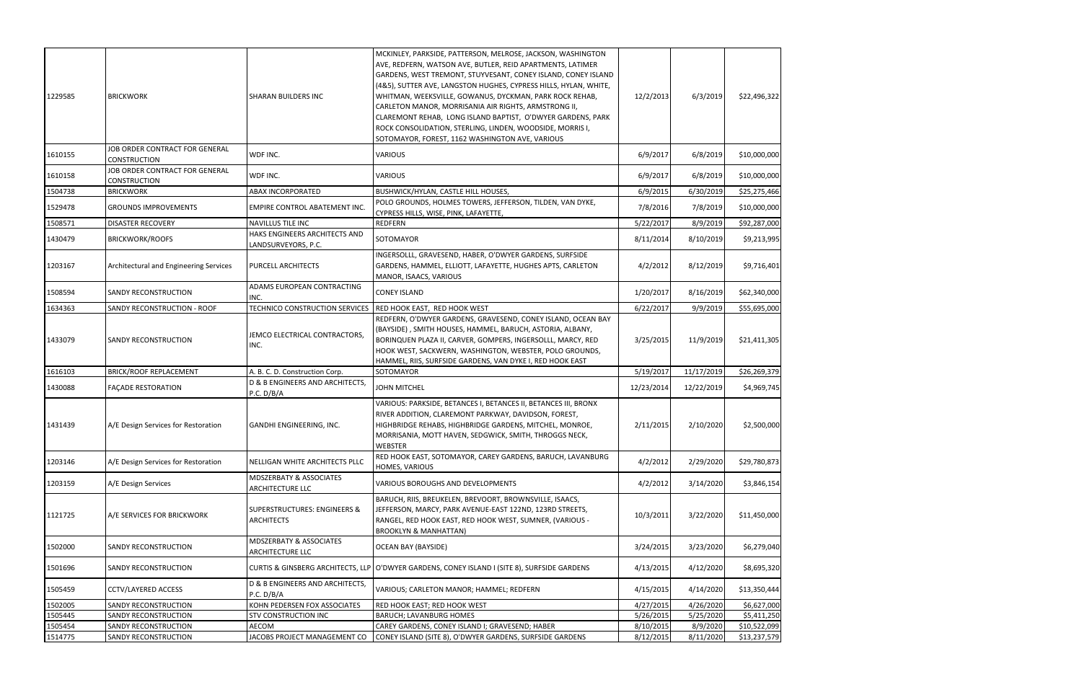| 1229585 | <b>BRICKWORK</b>                                      | SHARAN BUILDERS INC                                          | MCKINLEY, PARKSIDE, PATTERSON, MELROSE, JACKSON, WASHINGTON<br>AVE, REDFERN, WATSON AVE, BUTLER, REID APARTMENTS, LATIMER<br>GARDENS, WEST TREMONT, STUYVESANT, CONEY ISLAND, CONEY ISLAND<br>(4&5), SUTTER AVE, LANGSTON HUGHES, CYPRESS HILLS, HYLAN, WHITE,<br>WHITMAN, WEEKSVILLE, GOWANUS, DYCKMAN, PARK ROCK REHAB,<br>CARLETON MANOR, MORRISANIA AIR RIGHTS, ARMSTRONG II,<br>CLAREMONT REHAB, LONG ISLAND BAPTIST, O'DWYER GARDENS, PARK<br>ROCK CONSOLIDATION, STERLING, LINDEN, WOODSIDE, MORRIS I,<br>SOTOMAYOR, FOREST, 1162 WASHINGTON AVE, VARIOUS | 12/2/2013  | 6/3/2019   | \$22,496,322 |
|---------|-------------------------------------------------------|--------------------------------------------------------------|------------------------------------------------------------------------------------------------------------------------------------------------------------------------------------------------------------------------------------------------------------------------------------------------------------------------------------------------------------------------------------------------------------------------------------------------------------------------------------------------------------------------------------------------------------------|------------|------------|--------------|
| 1610155 | JOB ORDER CONTRACT FOR GENERAL<br><b>CONSTRUCTION</b> | WDF INC.                                                     | VARIOUS                                                                                                                                                                                                                                                                                                                                                                                                                                                                                                                                                          | 6/9/2017   | 6/8/2019   | \$10,000,000 |
| 1610158 | JOB ORDER CONTRACT FOR GENERAL<br>CONSTRUCTION        | WDF INC.                                                     | <b>VARIOUS</b>                                                                                                                                                                                                                                                                                                                                                                                                                                                                                                                                                   | 6/9/2017   | 6/8/2019   | \$10,000,000 |
| 1504738 | <b>BRICKWORK</b>                                      | ABAX INCORPORATED                                            | <b>BUSHWICK/HYLAN, CASTLE HILL HOUSES,</b>                                                                                                                                                                                                                                                                                                                                                                                                                                                                                                                       | 6/9/2015   | 6/30/2019  | \$25,275,466 |
| 1529478 | <b>GROUNDS IMPROVEMENTS</b>                           | EMPIRE CONTROL ABATEMENT INC.                                | POLO GROUNDS, HOLMES TOWERS, JEFFERSON, TILDEN, VAN DYKE,<br>CYPRESS HILLS, WISE, PINK, LAFAYETTE,                                                                                                                                                                                                                                                                                                                                                                                                                                                               | 7/8/2016   | 7/8/2019   | \$10,000,000 |
| 1508571 | <b>DISASTER RECOVERY</b>                              | NAVILLUS TILE INC                                            | <b>REDFERN</b>                                                                                                                                                                                                                                                                                                                                                                                                                                                                                                                                                   | 5/22/2017  | 8/9/2019   | \$92,287,000 |
| 1430479 | <b>BRICKWORK/ROOFS</b>                                | HAKS ENGINEERS ARCHITECTS AND<br>LANDSURVEYORS, P.C.         | SOTOMAYOR                                                                                                                                                                                                                                                                                                                                                                                                                                                                                                                                                        | 8/11/2014  | 8/10/2019  | \$9,213,995  |
| 1203167 | Architectural and Engineering Services                | PURCELL ARCHITECTS                                           | INGERSOLLL, GRAVESEND, HABER, O'DWYER GARDENS, SURFSIDE<br>GARDENS, HAMMEL, ELLIOTT, LAFAYETTE, HUGHES APTS, CARLETON<br>MANOR, ISAACS, VARIOUS                                                                                                                                                                                                                                                                                                                                                                                                                  | 4/2/2012   | 8/12/2019  | \$9,716,401  |
| 1508594 | SANDY RECONSTRUCTION                                  | ADAMS EUROPEAN CONTRACTING<br>INC.                           | <b>CONEY ISLAND</b>                                                                                                                                                                                                                                                                                                                                                                                                                                                                                                                                              | 1/20/2017  | 8/16/2019  | \$62,340,000 |
| 1634363 | SANDY RECONSTRUCTION - ROOF                           | TECHNICO CONSTRUCTION SERVICES                               | RED HOOK EAST, RED HOOK WEST                                                                                                                                                                                                                                                                                                                                                                                                                                                                                                                                     | 6/22/2017  | 9/9/2019   | \$55,695,000 |
| 1433079 | SANDY RECONSTRUCTION                                  | JEMCO ELECTRICAL CONTRACTORS,<br>INC.                        | REDFERN, O'DWYER GARDENS, GRAVESEND, CONEY ISLAND, OCEAN BAY<br>(BAYSIDE), SMITH HOUSES, HAMMEL, BARUCH, ASTORIA, ALBANY,<br>BORINQUEN PLAZA II, CARVER, GOMPERS, INGERSOLLL, MARCY, RED<br>HOOK WEST, SACKWERN, WASHINGTON, WEBSTER, POLO GROUNDS,<br>HAMMEL, RIIS, SURFSIDE GARDENS, VAN DYKE I, RED HOOK EAST                                                                                                                                                                                                                                                 | 3/25/2015  | 11/9/2019  | \$21,411,305 |
| 1616103 | <b>BRICK/ROOF REPLACEMENT</b>                         | A. B. C. D. Construction Corp.                               | SOTOMAYOR                                                                                                                                                                                                                                                                                                                                                                                                                                                                                                                                                        | 5/19/2017  | 11/17/2019 | \$26,269,379 |
| 1430088 | <b>FACADE RESTORATION</b>                             | D & B ENGINEERS AND ARCHITECTS,<br>P.C. D/B/A                | <b>JOHN MITCHEL</b>                                                                                                                                                                                                                                                                                                                                                                                                                                                                                                                                              | 12/23/2014 | 12/22/2019 | \$4,969,745  |
| 1431439 | A/E Design Services for Restoration                   | GANDHI ENGINEERING, INC.                                     | VARIOUS: PARKSIDE, BETANCES I, BETANCES II, BETANCES III, BRONX<br>RIVER ADDITION, CLAREMONT PARKWAY, DAVIDSON, FOREST,<br>HIGHBRIDGE REHABS, HIGHBRIDGE GARDENS, MITCHEL, MONROE,<br>MORRISANIA, MOTT HAVEN, SEDGWICK, SMITH, THROGGS NECK,<br><b>WEBSTER</b>                                                                                                                                                                                                                                                                                                   | 2/11/2015  | 2/10/2020  | \$2,500,000  |
| 1203146 | A/E Design Services for Restoration                   | NELLIGAN WHITE ARCHITECTS PLLC                               | RED HOOK EAST, SOTOMAYOR, CAREY GARDENS, BARUCH, LAVANBURG<br>HOMES, VARIOUS                                                                                                                                                                                                                                                                                                                                                                                                                                                                                     | 4/2/2012   | 2/29/2020  | \$29,780,873 |
| 1203159 | A/E Design Services                                   | <b>MDSZERBATY &amp; ASSOCIATES</b><br>ARCHITECTURE LLC       | VARIOUS BOROUGHS AND DEVELOPMENTS                                                                                                                                                                                                                                                                                                                                                                                                                                                                                                                                | 4/2/2012   | 3/14/2020  | \$3,846,154  |
| 1121725 | A/E SERVICES FOR BRICKWORK                            | <b>SUPERSTRUCTURES: ENGINEERS &amp;</b><br><b>ARCHITECTS</b> | BARUCH, RIIS, BREUKELEN, BREVOORT, BROWNSVILLE, ISAACS,<br>JEFFERSON, MARCY, PARK AVENUE-EAST 122ND, 123RD STREETS,<br>RANGEL, RED HOOK EAST, RED HOOK WEST, SUMNER, (VARIOUS -<br><b>BROOKLYN &amp; MANHATTAN)</b>                                                                                                                                                                                                                                                                                                                                              | 10/3/2011  | 3/22/2020  | \$11,450,000 |
| 1502000 | SANDY RECONSTRUCTION                                  | MDSZERBATY & ASSOCIATES<br>ARCHITECTURE LLC                  | <b>OCEAN BAY (BAYSIDE)</b>                                                                                                                                                                                                                                                                                                                                                                                                                                                                                                                                       | 3/24/2015  | 3/23/2020  | \$6,279,040  |
| 1501696 | SANDY RECONSTRUCTION                                  |                                                              | CURTIS & GINSBERG ARCHITECTS, LLP O'DWYER GARDENS, CONEY ISLAND I (SITE 8), SURFSIDE GARDENS                                                                                                                                                                                                                                                                                                                                                                                                                                                                     | 4/13/2015  | 4/12/2020  | \$8,695,320  |
| 1505459 | <b>CCTV/LAYERED ACCESS</b>                            | D & B ENGINEERS AND ARCHITECTS,<br>P.C. D/B/A                | VARIOUS; CARLETON MANOR; HAMMEL; REDFERN                                                                                                                                                                                                                                                                                                                                                                                                                                                                                                                         | 4/15/2015  | 4/14/2020  | \$13,350,444 |
| 1502005 | SANDY RECONSTRUCTION                                  | KOHN PEDERSEN FOX ASSOCIATES                                 | RED HOOK EAST; RED HOOK WEST                                                                                                                                                                                                                                                                                                                                                                                                                                                                                                                                     | 4/27/2015  | 4/26/2020  | \$6,627,000  |
| 1505445 | SANDY RECONSTRUCTION                                  | STV CONSTRUCTION INC                                         | <b>BARUCH; LAVANBURG HOMES</b>                                                                                                                                                                                                                                                                                                                                                                                                                                                                                                                                   | 5/26/2015  | 5/25/2020  | \$5,411,250  |
| 1505454 | SANDY RECONSTRUCTION                                  | AECOM                                                        | CAREY GARDENS, CONEY ISLAND I; GRAVESEND; HABER                                                                                                                                                                                                                                                                                                                                                                                                                                                                                                                  | 8/10/2015  | 8/9/2020   | \$10,522,099 |
| 1514775 | SANDY RECONSTRUCTION                                  | JACOBS PROJECT MANAGEMENT CO                                 | CONEY ISLAND (SITE 8), O'DWYER GARDENS, SURFSIDE GARDENS                                                                                                                                                                                                                                                                                                                                                                                                                                                                                                         | 8/12/2015  | 8/11/2020  | \$13,237,579 |